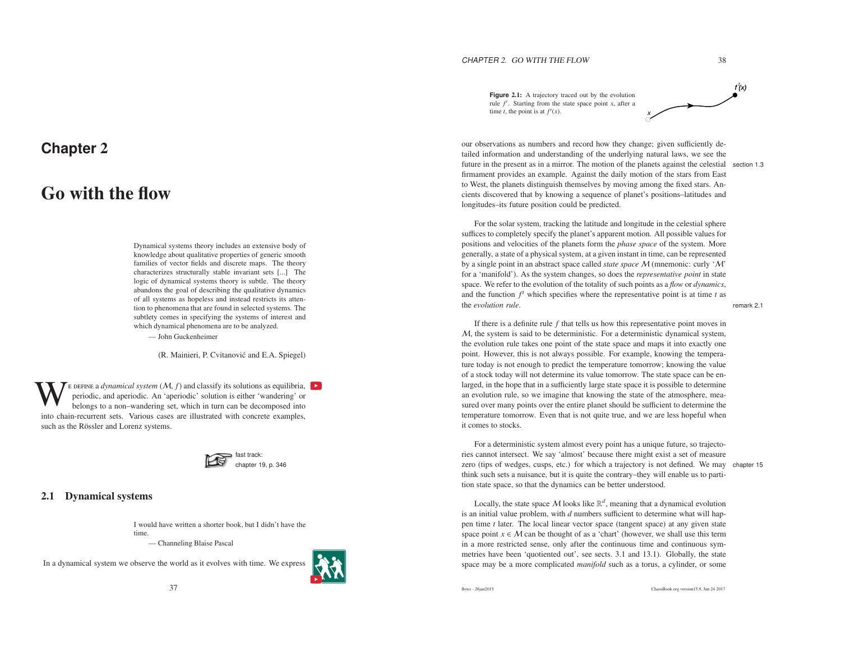# **Chapter** <sup>2</sup>

# Go with the flow

Dynamical systems theory includes an extensive body of knowledge about qualitative properties of generic smooth families of vector fields and discrete maps. The theory characterizes structurally stable invariant sets [...] The logic of dynamical systems theory is subtle. The theory abandons the goal of describing the qualitative dynamics of all systems as hopeless and instead restricts its attention to phenomena that are found in selected systems. The subtlety comes in specifying the systems of interest andwhich dynamical phenomena are to be analyzed. — John Guckenheimer

(R. Mainieri, P. Cvitanović and E.A. Spiegel)

E DEFINE a *dynamical system*  $(M, f)$  and classify its solutions as equilibria, **P** periodic, and aperiodic. An 'aperiodic' solution is either 'wandering' or belongs to a non-wandering set, which in turn can be decomposed into chain-recurrent sets. Various cases are illustrated with concrete examples, such as the Rössler and Lorenz systems.



# 2.1 Dynamical systems

I would have written <sup>a</sup> shorter book, but I didn't have thetime.

— Channeling Blaise Pascal

In <sup>a</sup> dynamical system we observe the world as it evolves with time. We express



time *t*, the point is at  $f'(x)$ .

**Figure** 2.1: <sup>A</sup> trajectory traced out by the evolution rule  $f<sup>t</sup>$ . Starting from the state space point *x*, after a x

our observations as numbers and record how they change; given sufficiently detailed information and understanding of the underlying natural laws, we see the future in the presen<sup>t</sup> as in <sup>a</sup> mirror. The motion of the planets against the celestial section 1.3firmament provides an example. Against the daily motion of the stars from East to West, the planets distinguish themselves by moving among the fixed stars. Ancients discovered that by knowing <sup>a</sup> sequence of planet's positions–latitudes andlongitudes–its future position could be predicted.

For the solar system, tracking the latitude and longitude in the celestial sphere suffices to completely specify the planet's apparen<sup>t</sup> motion. All possible values for positions and velocities of the planets form the *<sup>p</sup>hase space* of the system. More generally, <sup>a</sup> state of <sup>a</sup> physical system, at <sup>a</sup> given instant in time, can be represented by a single point in an abstract space called *state space* M (mnemonic: curly 'M'<br>for a 'manifold'). As the system changes, so does the *representative point* in state for <sup>a</sup> 'manifold'). As the system changes, so does the *representative point* in state space. We refer to the evolution of the totality of such points as <sup>a</sup> *flow* or *dynamics*, and the function  $f^t$  which specifies where the representative point is at time  $t$  as the *evolution rule*.

If there is <sup>a</sup> definite rule *f* that tells us how this representative point moves in $M$ , the system is said to be deterministic. For a deterministic dynamical system, the evolution rule takes one point of the state space and maps it into exactly one point. However, this is not always possible. For example, knowing the temperature today is not enough to predict the temperature tomorrow; knowing the value of <sup>a</sup> stock today will not determine its value tomorrow. The state space can be enlarged, in the hope that in <sup>a</sup> sufficiently large state space it is possible to determine an evolution rule, so we imagine that knowing the state of the atmosphere, measured over many points over the entire planet should be sufficient to determine the temperature tomorrow. Even that is not quite true, and we are less hopeful whenit comes to stocks.

For <sup>a</sup> deterministic system almost every point has <sup>a</sup> unique future, so trajectories cannot intersect. We say 'almost' because there might exist <sup>a</sup> set of measure zero (tips of wedges, cusps, etc.) for which <sup>a</sup> trajectory is not defined. We may chapter <sup>15</sup> think such sets <sup>a</sup> nuisance, but it is quite the contrary–they will enable us to partition state space, so that the dynamics can be better understood.

Locally, the state space M looks like  $\mathbb{R}^d$ , meaning that a dynamical evolution<br>a initial value problem, with d numbers sufficient to determine what will hapis an initial value problem, with *<sup>d</sup>* numbers sufficient to determine what will happen time *<sup>t</sup>* later. The local linear vector space (tangent space) at any <sup>g</sup>iven state space point  $x \in M$  can be thought of as a 'chart' (however, we shall use this term<br>in a more restricted sense, only after the continuous time and continuous symin <sup>a</sup> more restricted sense, only after the continuous time and continuous symmetries have been 'quotiented out', see sects. 3.1 and 13.1). Globally, the statespace may be <sup>a</sup> more complicated *manifold* such as <sup>a</sup> torus, <sup>a</sup> cylinder, or some

ChaosBook.org version15.9, Jun <sup>24</sup> <sup>2017</sup>

f  $^t\!(\mathsf{x})$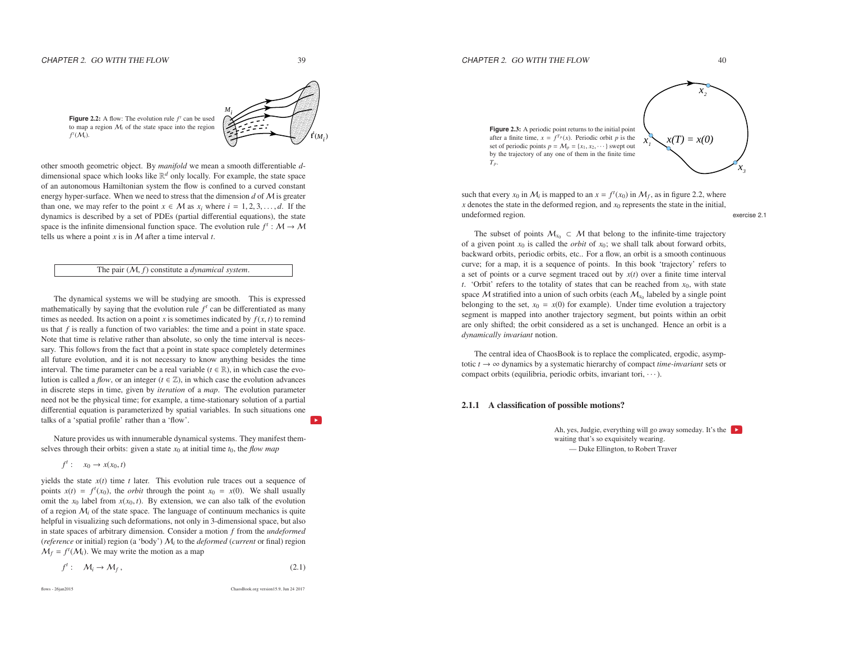$\overline{39}$ 

 ${\bf f}^{\mathfrak{t}}(M_{\scriptscriptstyle\ast})$ *<sup>M</sup><sup>i</sup>*



**Figure 2.2:** A flow: The evolution rule  $f^t$  can be used to map a region  $M_i$  of the state space into the region *ft* (M*i*).

other smooth geometric object. By *manifold* we mean <sup>a</sup> smooth di fferentiable *<sup>d</sup>* dimensional space which looks like  $\mathbb{R}^d$  only locally. For example, the state space of an autonomous Hamiltonian system the flow is confined to <sup>a</sup> curved constantenergy hyper-surface. When we need to stress that the dimension  $d$  of  $M$  is greater energy hyper-surface. When we need to stress that the dimension *d* of *M* is greater than one, we may refer to the point  $x \in M$  as  $x_i$  where  $i = 1, 2, 3, \dots, d$ . If the dynamics is described by a set of PDFs (partial diff dynamics is described by <sup>a</sup> set of PDEs (partial differential equations), the statespace is the infinite dimensional function space. The evolution rule  $f' : M \to M$ tells us where a point *x* is in  $M$  after a time interval *t*.

#### The pair (M, *f*) constitute <sup>a</sup> *dynamical system*.

The dynamical systems we will be studying are smooth. This is expresse<sup>d</sup>mathematically by saying that the evolution rule  $f<sup>t</sup>$  can be differentiated as many times as needed. Its action on a point *x* is sometimes indicated by  $f(x, t)$  to remind us that *f* is really <sup>a</sup> function of two variables: the time and <sup>a</sup> point in state space. Note that time is relative rather than absolute, so only the time interval is necessary. This follows from the fact that <sup>a</sup> point in state space completely determines all future evolution, and it is not necessary to know anything besides the timeinterval. The time parameter can be a real variable ( $t \in \mathbb{R}$ ), in which case the evolution is called a *flow*, or an integer ( $t \in \mathbb{Z}$ ), in which case the evolution advances in discrete steps in time, given by *iteration* of <sup>a</sup> *map*. The evolution parameter need not be the physical time; for example, <sup>a</sup> time-stationary solution of <sup>a</sup> partial differential equation is parameterized by spatial variables. In such situations onetalks of <sup>a</sup> 'spatial profile' rather than <sup>a</sup> 'flow'.

Nature provides us with innumerable dynamical systems. They manifest themselves through their orbits: given a state  $x_0$  at initial time  $t_0$ , the *flow map* 

 $f^t$  :  $x_0 \to x(x_0, t)$ 

yields the state *<sup>x</sup>*(*t*) time *<sup>t</sup>* later. This evolution rule traces out <sup>a</sup> sequence of points  $x(t) = f<sup>t</sup>(x<sub>0</sub>)$ , the *orbit* through the point  $x<sub>0</sub> = x(0)$ . We shall usually omit the  $x_0$  label from  $x(x_0, t)$ . By extension, we can also talk of the evolution of a region  $M_i$  of the state space. The language of continuum mechanics is quite helpful in visualizing such deformations, not only in 3-dimensional space, but also in state spaces of arbitrary dimension. Consider <sup>a</sup> motion *f* from the *undeformed* (*reference* or initial) region (a 'body') M*i* to the *deformed* (*current* or final) region  $M_f = f^t(M_i)$ . We may write the motion as a map

$$
f': \quad M_i \to M_f, \tag{2.1}
$$

flows - 26jan2015

ChaosBook.org version15.9, Jun <sup>24</sup> <sup>2017</sup>



such that every  $x_0$  in  $M_i$  is mapped to an  $x = f^t(x_0)$  in  $M_f$ , as in figure 2.2, where  *denotes the state in the deformed region, and*  $*x*<sub>0</sub>$  *represents the state in the initial,* undeformed region. exercise 2.1

The subset of points  $M_{x_0} \subset M$  that belong to the infinite-time trajectory<br>or not the second the *orbit* of rot we shall talk about forward orbits of a given point  $x_0$  is called the *orbit* of  $x_0$ ; we shall talk about forward orbits, backward orbits, periodic orbits, etc.. For <sup>a</sup> flow, an orbit is <sup>a</sup> smooth continuous curve; for <sup>a</sup> map, it is <sup>a</sup> sequence of points. In this book 'trajectory' refers to <sup>a</sup> set of points or <sup>a</sup> curve segmen<sup>t</sup> traced out by *<sup>x</sup>*(*t*) over <sup>a</sup> finite time interval *t*. 'Orbit' refers to the totality of states that can be reached from  $x_0$ , with state space M stratified into a union of such orbits (each  $M_{x_0}$  labeled by a single point<br>belonging to the set  $x_0 = x(0)$  for example). Under time evolution a trajectory belonging to the set,  $x_0 = x(0)$  for example). Under time evolution a trajectory segmen<sup>t</sup> is mapped into another trajectory segment, but points within an orbit are only shifted; the orbit considered as <sup>a</sup> set is unchanged. Hence an orbit is <sup>a</sup>*dynamically invariant* notion.

The central idea of ChaosBook is to replace the complicated, ergodic, asymptotic  $t \to \infty$  dynamics by a systematic hierarchy of compact *time-invariant* sets or compact orbits (equilibria, periodic orbits, invariant tori,  $\cdots$ ).

## 2.1.1 A classification of possible motions?

Ah, yes, Judgie, everything will go away someday. It's the waiting that's so exquisitely wearing. — Duke Ellington, to Robert Traver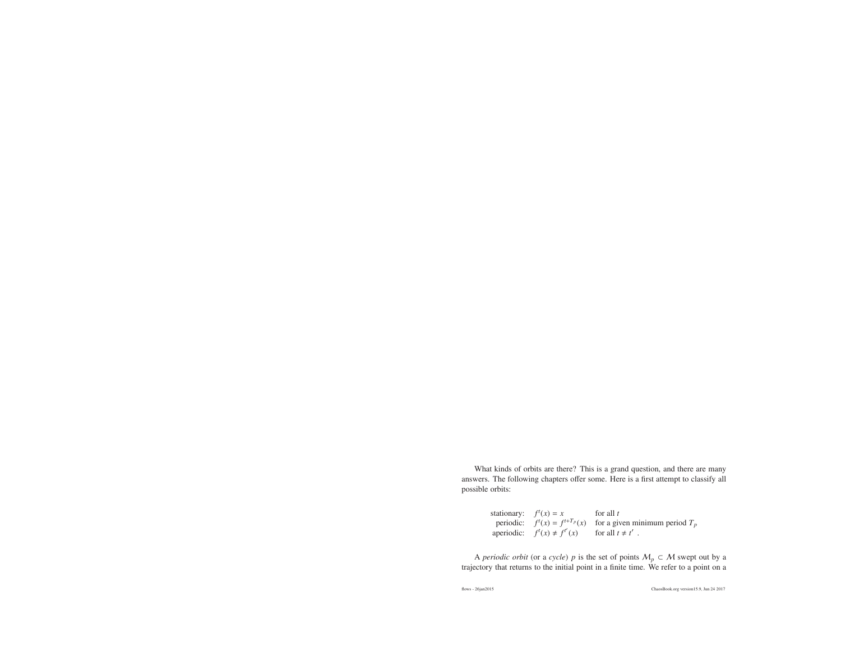What kinds of orbits are there? This is <sup>a</sup> grand question, and there are many answers. The following chapters <sup>o</sup>ffer some. Here is <sup>a</sup> first attempt to classify allpossible orbits:

> stationary:  $f'(x) =$ ationary:  $f'(x) = x$  for all *t*<br>
> periodic:  $f'(x) = f'_{x} + f'_{p}(x)$  for a given minimum period  $T_p$ aperiodic:  $f'(x) \neq f^{t'}(x)$  for all  $t \neq t'$ .

A *periodic orbit* (or a *cycle*)  $p$  is the set of points  $M_p \subset M$  swept out by a correction of a cycle in the initial point in a finite time. We refer to a point on a trajectory that returns to the initial point in <sup>a</sup> finite time. We refer to <sup>a</sup> point on <sup>a</sup>

flows - 26jan2015

ChaosBook.org version15.9, Jun <sup>24</sup> <sup>2017</sup>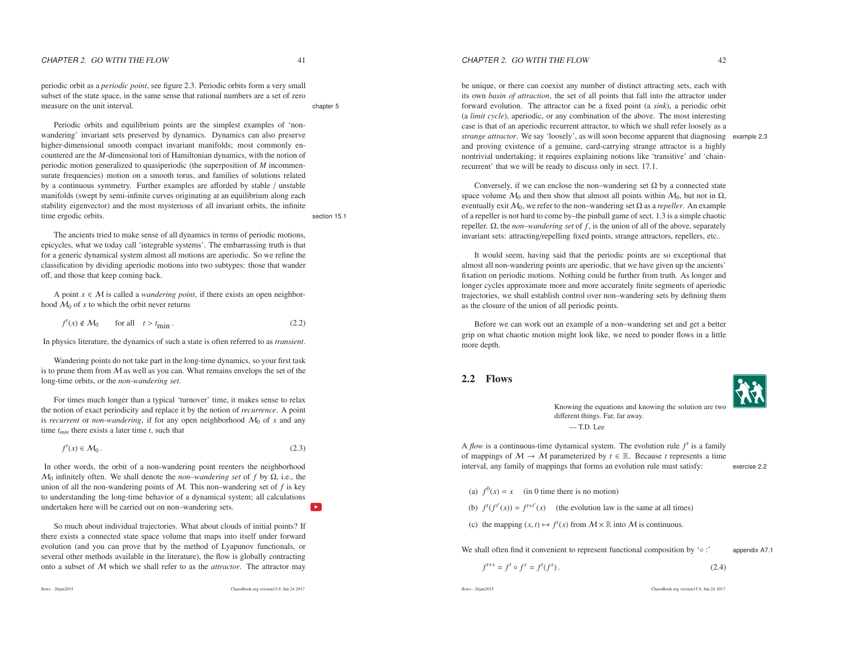periodic orbit as <sup>a</sup> *periodic point*, see figure 2.3. Periodic orbits form <sup>a</sup> very small subset of the state space, in the same sense that rational numbers are <sup>a</sup> set of zeromeasure on the unit interval.

Periodic orbits and equilibrium points are the simplest examples of 'nonwandering' invariant sets preserved by dynamics. Dynamics can also preserve higher-dimensional smooth compac<sup>t</sup> invariant manifolds; most commonly encountered are the *<sup>M</sup>*-dimensional tori of Hamiltonian dynamics, with the notion of periodic motion generalized to quasiperiodic (the superposition of *<sup>M</sup>* incommensurate frequencies) motion on <sup>a</sup> smooth torus, and families of solutions related by <sup>a</sup> continuous symmetry. Further examples are <sup>a</sup>fforded by stable / unstable manifolds (swept by semi-infinite curves originating at an equilibrium along each stability eigenvector) and the most mysterious of all invariant orbits, the infinitetime ergodic orbits. Section 15.1

The ancients tried to make sense of all dynamics in terms of periodic motions, epicycles, what we today call 'integrable systems'. The embarrassing truth is that for <sup>a</sup> generic dynamical system almost all motions are aperiodic. So we refine the classification by dividing aperiodic motions into two subtypes: those that wander<sup>o</sup>ff, and those that keep coming back.

A point *x* ∈ *M* is called a *wandering point*, if there exists an open neighbor-<br>d *M*<sub>o</sub> of *x* to which the orbit never returns hood  $M_0$  of  $x$  to which the orbit never returns

$$
f^{t}(x) \notin \mathcal{M}_{0} \qquad \text{for all} \quad t > t_{\text{min}} \,. \tag{2.2}
$$

In physics literature, the dynamics of such <sup>a</sup> state is often referred to as *transient*.

Wandering points do not take par<sup>t</sup> in the long-time dynamics, so your first taskis to prune them from  $M$  as well as you can. What remains envelops the set of the long-time orbits or the non-wandering set long-time orbits, or the *non-wandering set*.

For times much longer than <sup>a</sup> typical 'turnover' time, it makes sense to relax the notion of exact periodicity and replace it by the notion of *recurrence*. <sup>A</sup> point is *recurrent* or *non-wandering*, if for any open neighborhood  $M_0$  of *x* and any time *<sup>t</sup>min* there exists <sup>a</sup> later time *<sup>t</sup>*, such that

$$
f'(x) \in \mathcal{M}_0. \tag{2.3}
$$

In other words, the orbit of <sup>a</sup> non-wandering point reenters the neighborhood $M_0$  infinitely often. We shall denote the *non–wandering set* of *f* by  $Ω$ , i.e., the union of all the non-wandering points of M. This non–wandering set of *f* is key to understanding the long-time behavior of <sup>a</sup> dynamical system; all calculationsundertaken here will be carried out on non–wandering sets.

So much about individual trajectories. What about clouds of initial points? If there exists <sup>a</sup> connected state space volume that maps into itself under forward evolution (and you can prove that by the method of Lyapunov functionals, or several other methods available in the literature), the flow is <sup>g</sup>lobally contracting onto <sup>a</sup> subset of M which we shall refer to as the *attractor*. The attractor may

ChaosBook.org version15.9, Jun <sup>24</sup> <sup>2017</sup>

CHAPTER 2. GO WITH THE FLOW

be unique, or there can coexist any number of distinct attracting sets, each with its own *basin of attraction*, the set of all points that fall into the attractor under forward evolution. The attractor can be <sup>a</sup> fixed point (a *sink*), <sup>a</sup> periodic orbit (a *limit cycle*), aperiodic, or any combination of the above. The most interesting case is that of an aperiodic recurrent attractor, to which we shall refer loosely as <sup>a</sup> *strange attractor*. We say 'loosely', as will soon become apparen<sup>t</sup> that diagnosing example 2.3 and proving existence of <sup>a</sup> genuine, card-carrying strange attractor is <sup>a</sup> highly nontrivial undertaking; it requires explaining notions like 'transitive' and 'chainrecurrent' that we will be ready to discuss only in sect. 17.1.

Conversely, if we can enclose the non–wandering set  $\Omega$  by a connected state space volume  $\mathcal{M}_0$  and then show that almost all points within  $\mathcal{M}_0$ , but not in  $\Omega$ , eventually exit  $M_0$ , we refer to the non–wandering set  $Ω$  as a *repeller*. An example of <sup>a</sup> repeller is not hard to come by–the pinball game of sect. 1.3 is <sup>a</sup> simple chaotic repeller. Ω, the *non–wandering set* of *f* , is the union of all of the above, separatelyinvariant sets: attracting/repelling fixed points, strange attractors, repellers, etc..

It would seem, having said that the periodic points are so exceptional that almost all non-wandering points are aperiodic, that we have <sup>g</sup>iven up the ancients' fixation on periodic motions. Nothing could be further from truth. As longer and longer cycles approximate more and more accurately finite segments of aperiodic trajectories, we shall establish control over non–wandering sets by defining themas the closure of the union of all periodic points.

Before we can work out an example of <sup>a</sup> non–wandering set and ge<sup>t</sup> <sup>a</sup> better grip on what chaotic motion might look like, we need to ponder flows in <sup>a</sup> littlemore depth.

# 2.2 Flows

Knowing the equations and knowing the solution are twodifferent things. Far, far away. — T.D. Lee

A *flow* is a continuous-time dynamical system. The evolution rule  $f^t$  is a family of mappings of  $M \to M$  parameterized by  $t \in \mathbb{R}$ . Because *t* represents a time interval any family of mappings that forms an evolution rule must satisfy: interval, any family of mappings that forms an evolution rule must satisfy:

exercise 2.2

appendix A7.1

(a)  $f^0(x) = x$  (in 0 time there is no motion)

(b)  $f'(f^{t'}(x)) = f^{t+t'}(x)$  (the evolution law is the same at all times)

(c) the mapping  $(x, t) \mapsto f^t(x)$  from  $M \times \mathbb{R}$  into M is continuous.

We shall often find it convenient to represent functional composition by '◦ :'

$$
f^{t+s} = f^t \circ f^s = f^t(f^s). \tag{2.4}
$$

flows - 26jan2015

ChaosBook.org version15.9, Jun <sup>24</sup> <sup>2017</sup>

 $42$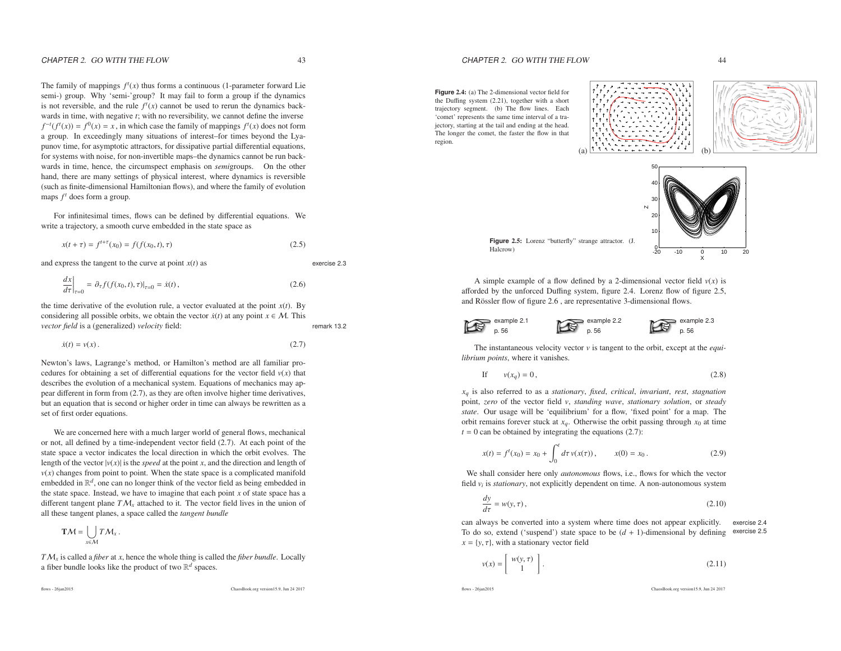exercise 2.3

## The family of mappings  $f^t(x)$  thus forms a continuous (1-parameter forward Lie semi-) group. Why 'semi-'group? It may fail to form <sup>a</sup> group if the dynamicsis not reversible, and the rule  $f'(x)$  cannot be used to rerun the dynamics backwards in time, with negative *<sup>t</sup>*; with no reversibility, we cannot define the inverse  $f^{-t}(f^{t}(x)) = f^{0}(x) = x$ , in which case the family of mappings  $f^{t}(x)$  does not form <sup>a</sup> group. In exceedingly many situations of interest–for times beyond the Lyapunov time, for asymptotic attractors, for dissipative partial differential equations, for systems with noise, for non-invertible maps–the dynamics cannot be run backwards in time, hence, the circumspect emphasis on *semi*groups. On the other hand, there are many settings of physical interest, where dynamics is reversible (such as finite-dimensional Hamiltonian flows), and where the family of evolutionmaps  $f<sup>t</sup>$  does form a group.

For infinitesimal times, flows can be defined by differential equations. Wewrite <sup>a</sup> trajectory, <sup>a</sup> smooth curve embedded in the state space as

$$
x(t + \tau) = f^{t + \tau}(x_0) = f(f(x_0, t), \tau)
$$
\n(2.5)

and express the tangent to the curve at point *<sup>x</sup>*(*t*) as

$$
\left. \frac{dx}{d\tau} \right|_{\tau=0} = \left. \partial_{\tau} f(f(x_0, t), \tau) \right|_{\tau=0} = \dot{x}(t), \tag{2.6}
$$

the time derivative of the evolution rule, <sup>a</sup> vector evaluated at the point *<sup>x</sup>*(*t*). Byconsidering all possible orbits, we obtain the vector  $\dot{x}(t)$  at any point  $x \in M$ . This *vector field* is a (generalized) *velocity* field: remark 13.2

$$
\dot{x}(t) = v(x). \tag{2.7}
$$

Newton's laws, Lagrange's method, or Hamilton's method are all familiar procedures for obtaining a set of differential equations for the vector field  $v(x)$  that describes the evolution of <sup>a</sup> mechanical system. Equations of mechanics may appear different in form from (2.7), as they are often involve higher time derivatives, but an equation that is second or higher order in time can always be rewritten as <sup>a</sup>set of first order equations.

We are concerned here with <sup>a</sup> much larger world of general flows, mechanical or not, all defined by <sup>a</sup> time-independent vector field (2.7). At each point of the state space <sup>a</sup> vector indicates the local direction in which the orbit evolves. Thelength of the vector  $|v(x)|$  is the *speed* at the point *x*, and the direction and length of  $v(x)$  changes from point to point. When the state space is a complicated manifold embedded in <sup>R</sup>*d*, one can no longer think of the vector field as being embedded in the state space. Instead, we have to imagine that each point *<sup>x</sup>* of state space has <sup>a</sup> different tangent plane  $T M_x$  attached to it. The vector field lives in the union of all these tangent planes, <sup>a</sup> space called the *tangent bundle*

$$
\mathbf{T}\mathcal{M}=\bigcup_{x\in\mathcal{M}}T\mathcal{M}_x.
$$

*T*M*x* is called <sup>a</sup> *fiber* at *<sup>x</sup>*, hence the whole thing is called the *fiber bundle*. Locally<sup>a</sup> fiber bundle looks like the product of two <sup>R</sup>*<sup>d</sup>* spaces.

ChaosBook.org version15.9, Jun <sup>24</sup> <sup>2017</sup>

# CHAPTER 2. GO WITH THE FLOW

**Figure** 2.4: (a) The 2-dimensional vector field for the Duffing system (2.21), together with <sup>a</sup> short trajectory segment. (b) The flow lines. Each 'comet' represents the same time interval of <sup>a</sup> trajectory, starting at the tail and ending at the head. The longer the comet, the faster the flow in thatregion.

Halcrow)





A simple example of a flow defined by a 2-dimensional vector field  $v(x)$  is <sup>a</sup>fforded by the unforced Duffing system, figure 2.4. Lorenz flow of figure 2.5, and Rössler flow of figure 2.6, are representative 3-dimensional flows.

(a)



 $=$  example 2.2 example 2.3p. 56

The instantaneous velocity vector *<sup>v</sup>* is tangent to the orbit, excep<sup>t</sup> at the *equilibrium points*, where it vanishes.

p. 56

$$
\text{If} \qquad v(x_q) = 0 \,, \tag{2.8}
$$

*<sup>x</sup>q* is also referred to as <sup>a</sup> *stationary*, *fixed*, *critical*, *invariant*, *rest*, *stagnation* point, *zero* of the vector field *<sup>v</sup>*, *standing wave*, *stationary solution*, or *steady state*. Our usage will be 'equilibrium' for <sup>a</sup> flow, 'fixed point' for <sup>a</sup> map. The orbit remains forever stuck at *<sup>x</sup>q*. Otherwise the orbit passing through *<sup>x</sup>*<sup>0</sup> at time  $t = 0$  can be obtained by integrating the equations  $(2.7)$ :

$$
x(t) = f'(x_0) = x_0 + \int_0^t d\tau \, v(x(\tau)), \qquad x(0) = x_0. \tag{2.9}
$$

We shall consider here only *autonomous* flows, i.e., flows for which the vector field *<sup>v</sup><sup>i</sup>* is *stationary*, not explicitly dependent on time. <sup>A</sup> non-autonomous system

$$
\frac{dy}{d\tau} = w(y, \tau),\tag{2.10}
$$

can always be converted into <sup>a</sup> system where time does not appear explicitly. exercise 2.4To do so, extend ('suspend') state space to be  $(d + 1)$ -dimensional by defining exercise 2.5  $x = \{y, \tau\}$ , with a stationary vector field

$$
v(x) = \begin{bmatrix} w(y, \tau) \\ 1 \end{bmatrix}.
$$
 (2.11)

flows - 26jan2015

ChaosBook.org version15.9, Jun <sup>24</sup> <sup>2017</sup>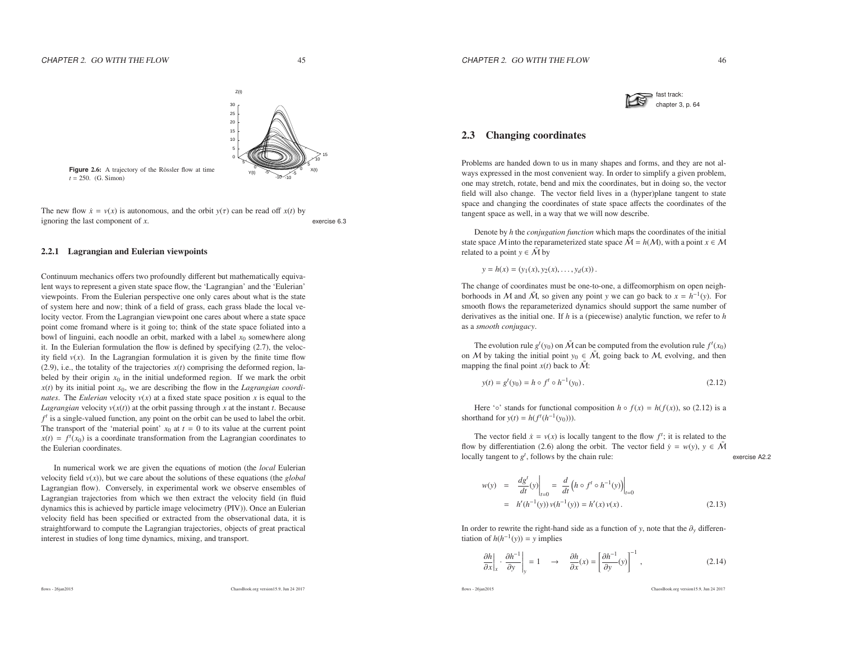

# 2.3 Changing coordinates

Problems are handed down to us in many shapes and forms, and they are not always expressed in the most convenient way. In order to simplify <sup>a</sup> given problem, one may stretch, rotate, bend and mix the coordinates, but in doing so, the vector field will also change. The vector field lives in <sup>a</sup> (hyper)plane tangent to state space and changing the coordinates of state space <sup>a</sup>ffects the coordinates of thetangent space as well, in <sup>a</sup> way that we will now describe.

Denote by *<sup>h</sup>* the *conjugation function* which maps the coordinates of the initial state space *M* into the reparameterized state space  $\tilde{M} = h(M)$ , with a point  $x \in M$ <br>related to a point  $y \in \tilde{M}$  by related to a point  $y \in \tilde{\mathcal{M}}$  by

$$
y = h(x) = (y_1(x), y_2(x), \dots, y_d(x)).
$$

The change of coordinates must be one-to-one, <sup>a</sup> diffeomorphism on open neighborhoods in M and  $\tilde{M}$ , so given any point *y* we can go back to  $x = h^{-1}(y)$ . For smooth flows the reparameterized dynamics should suppor<sup>t</sup> the same number of derivatives as the initial one. If *<sup>h</sup>* is <sup>a</sup> (piecewise) analytic function, we refer to *<sup>h</sup>* as <sup>a</sup> *smooth conjugacy*.

The evolution rule  $g^t(y_0)$  on  $\tilde{M}$  can be computed from the evolution rule  $f^t(x_0)$ on *M* by taking the initial point  $y_0 \in \tilde{M}$ , going back to *M*, evolving, and then manning the final point  $y(t)$  back to  $\tilde{M}$ . mapping the final point  $x(t)$  back to  $\tilde{M}$ :

$$
y(t) = gt(y0) = h \circ ft \circ h-1(y0).
$$
 (2.12)

Here ' $\circ$ ' stands for functional composition  $h \circ f(x) = h(f(x))$ , so (2.12) is a shorthand for  $y(t) = h(f^{t}(h^{-1}(y_0)))$ .

The vector field  $\dot{x} = v(x)$  is locally tangent to the flow  $f^t$ ; it is related to the flow by differentiation (2.6) along the orbit. The vector field  $\dot{y} = w(y), y \in \tilde{\mathcal{M}}$ locally tangent to  $g^t$ , follows by the chain rule: exercise A2.2

$$
w(y) = \frac{dg'}{dt}(y)\Big|_{t=0} = \frac{d}{dt} \left( h \circ f' \circ h^{-1}(y) \right)\Big|_{t=0}
$$
  
=  $h'(h^{-1}(y)) v(h^{-1}(y)) = h'(x) v(x).$  (2.13)

In order to rewrite the right-hand side as <sup>a</sup> function of *<sup>y</sup>*, note that the <sup>∂</sup>*<sup>y</sup>* differentiation of  $h(h^{-1}(y)) = y$  implies

$$
\left. \frac{\partial h}{\partial x} \right|_{x} \cdot \left. \frac{\partial h^{-1}}{\partial y} \right|_{y} = 1 \quad \to \quad \left. \frac{\partial h}{\partial x}(x) = \left[ \frac{\partial h^{-1}}{\partial y}(y) \right]^{-1}, \tag{2.14}
$$

flows - 26jan2015

ChaosBook.org version15.9, Jun <sup>24</sup> <sup>2017</sup>



The new flow  $\dot{x} = v(x)$  is autonomous, and the orbit  $y(\tau)$  can be read off  $x(t)$  by ignoring the last component of  $x$ . *<sup>x</sup>*. exercise 6.3

#### 2.2.1 Lagrangian and Eulerian viewpoints

Continuum mechanics <sup>o</sup>ffers two profoundly different but mathematically equivalent ways to represen<sup>t</sup> <sup>a</sup> given state space flow, the 'Lagrangian' and the 'Eulerian' viewpoints. From the Eulerian perspective one only cares about what is the state of system here and now; think of <sup>a</sup> field of grass, each grass blade the local velocity vector. From the Lagrangian viewpoint one cares about where <sup>a</sup> state space point come fromand where is it going to; think of the state space foliated into <sup>a</sup> bowl of linguini, each noodle an orbit, marked with <sup>a</sup> label *<sup>x</sup>*0 somewhere along it. In the Eulerian formulation the flow is defined by specifying (2.7), the velocity field  $v(x)$ . In the Lagrangian formulation it is given by the finite time flow  $(2.9)$ , i.e., the totality of the trajectories  $x(t)$  comprising the deformed region, labeled by their origin  $x_0$  in the initial undeformed region. If we mark the orbit *<sup>x</sup>*(*t*) by its initial point *<sup>x</sup>*0, we are describing the flow in the *Lagrangian coordinates*. The *Eulerian* velocity *<sup>v</sup>*(*x*) at <sup>a</sup> fixed state space position *<sup>x</sup>* is equa<sup>l</sup> to the *Lagrangian* velocity  $v(x(t))$  at the orbit passing through *x* at the instant *t*. Because *f <sup>t</sup>* is <sup>a</sup> single-valued function, any point on the orbit can be used to label the orbit. The transport of the 'material point'  $x_0$  at  $t = 0$  to its value at the current point  $x(t) = f<sup>t</sup>(x<sub>0</sub>)$  is a coordinate transformation from the Lagrangian coordinates to the Eulerian coordinates.

In numerical work we are given the equations of motion (the *local* Eulerian velocity field *<sup>v</sup>*(*x*)), but we care about the solutions of these equations (the *<sup>g</sup>lobal* Lagrangian flow). Conversely, in experimental work we observe ensembles of Lagrangian trajectories from which we then extract the velocity field (in fluid dynamics this is achieved by particle image velocimetry (PIV)). Once an Eulerian velocity field has been specified or extracted from the observational data, it is straightforward to compute the Lagrangian trajectories, objects of grea<sup>t</sup> practicalinterest in studies of long time dynamics, mixing, and transport.

flows - 26jan2015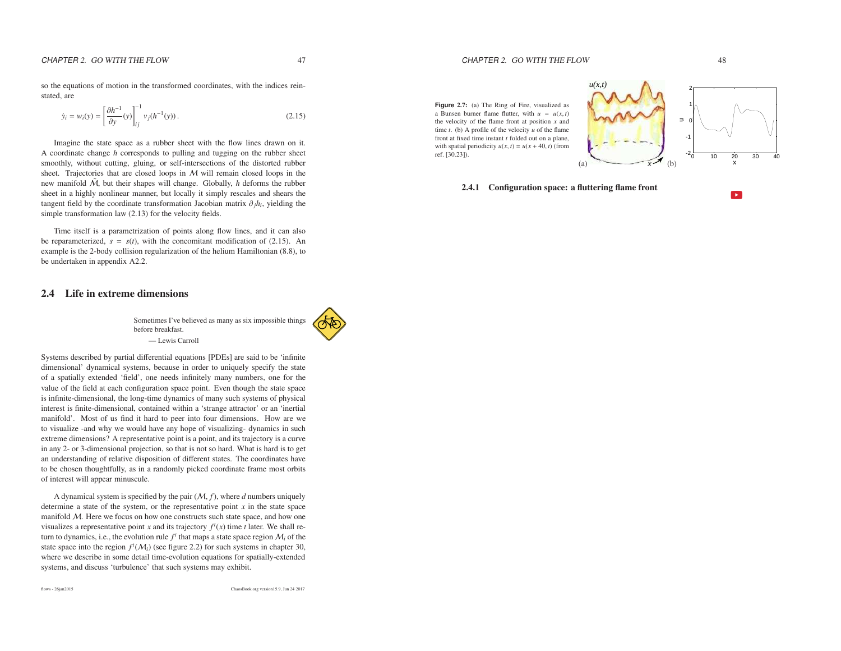so the equations of motion in the transformed coordinates, with the indices reinstated, are

$$
\dot{y}_i = w_i(y) = \left[\frac{\partial h^{-1}}{\partial y}(y)\right]_{ij}^{-1} v_j(h^{-1}(y)).
$$
\n(2.15)

Imagine the state space as <sup>a</sup> rubber sheet with the flow lines drawn on it. A coordinate change *<sup>h</sup>* corresponds to pulling and tugging on the rubber sheet smoothly, without cutting, gluing, or self-intersections of the distorted rubber sheet. Trajectories that are closed loops in  $M$ sheet. Trajectories that are closed loops in  $M$  will remain closed loops in the new manifold  $\tilde{M}$ , but their shapes will change. Globally, *h* deforms the rubber sheet in <sup>a</sup> highly nonlinear manner, but locally it simply rescales and shears the tangent field by the coordinate transformation Jacobian matrix <sup>∂</sup>*jhi*, <sup>y</sup>ielding the simple transformation law (2.13) for the velocity fields.

Time itself is <sup>a</sup> parametrization of points along flow lines, and it can alsobe reparameterized,  $s = s(t)$ , with the concomitant modification of (2.15). An example is the 2-body collision regularization of the helium Hamiltonian (8.8), tobe undertaken in appendix A2.2.

# 2.4 Life in extreme dimensions

Sometimes I've believed as many as six impossible thingsbefore breakfast. — Lewis Carroll



A dynamical system is specified by the pair (M, *f*), where *<sup>d</sup>* numbers uniquely determine <sup>a</sup> state of the system, or the representative point *<sup>x</sup>* in the state space manifold  $M$ . Here we focus on how one constructs such state space, and how one visualizes a representative point *x* and its trajectory  $f^t(x)$  time *t* later. We shall return to dynamics, i.e., the evolution rule  $f<sup>t</sup>$  that maps a state space region  $\mathcal{M}<sub>i</sub>$  of the state space into the region  $f^t(M_i)$  (see figure 2.2) for such systems in chapter 30, where we describe in some detail time-evolution equations for spatially-extendedsystems, and discuss 'turbulence' that such systems may exhibit.

**Figure** 2.7: (a) The Ring of Fire, visualized as a Bunsen burner flame flutter, with  $u = u(x, t)$ the velocity of the flame front at position *<sup>x</sup>* and time *<sup>t</sup>*. (b) <sup>A</sup> profile of the velocity *<sup>u</sup>* of the flame front at fixed time instant *<sup>t</sup>* folded out on <sup>a</sup> plane, with spatial periodicity  $u(x, t) = u(x + 40, t)$  (from ref. [30.23]).



2.4.1 Configuration space: <sup>a</sup> fluttering flame front

(a)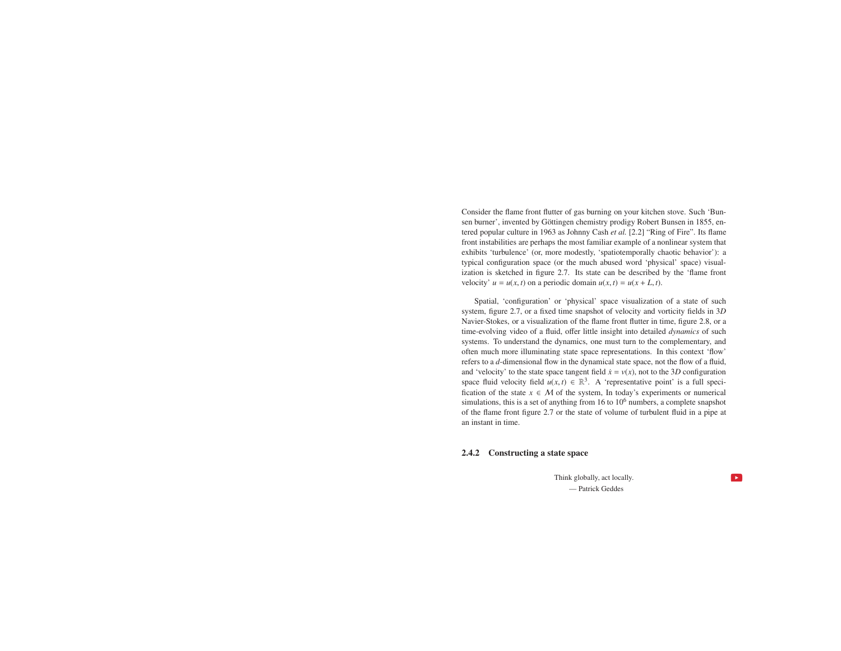Consider the flame front flutter of gas burning on your kitchen stove. Such 'Bunsen burner', invented by Göttingen chemistry prodigy Robert Bunsen in 1855, entered popular culture in 1963 as Johnny Cash *et al.* [2.2] "Ring of Fire". Its flame front instabilities are perhaps the most familiar example of <sup>a</sup> nonlinear system that exhibits 'turbulence' (or, more modestly, 'spatiotemporally chaotic behavior'): <sup>a</sup> typical configuration space (or the much abused word 'physical' space) visualization is sketched in figure 2.7. Its state can be described by the 'flame frontvelocity'  $u = u(x, t)$  on a periodic domain  $u(x, t) = u(x + L, t)$ .

Spatial, 'configuration' or 'physical' space visualization of <sup>a</sup> state of such system, figure 2.7, or <sup>a</sup> fixed time snapshot of velocity and vorticity fields in 3*D* Navier-Stokes, or <sup>a</sup> visualization of the flame front flutter in time, figure 2.8, or <sup>a</sup> time-evolving video of <sup>a</sup> fluid, <sup>o</sup>ffer little insight into detailed *dynamics* of such systems. To understand the dynamics, one must turn to the complementary, and often much more illuminating state space representations. In this context 'flow' refers to <sup>a</sup> *<sup>d</sup>*-dimensional flow in the dynamical state space, not the flow of <sup>a</sup> fluid, and 'velocity' to the state space tangent field  $\dot{x} = v(x)$ , not to the 3*D* configuration space fluid velocity field  $u(x, t) \in \mathbb{R}^3$ . A 'representative point' is a full specification of the state  $x \in M$  of the system, In today's experiments or numerical<br>simulations this is a set of anything from 16 to 10<sup>6</sup> numbers a complete snapshot simulations, this is a set of anything from 16 to 10<sup>6</sup> numbers, a complete snapshot of the flame front figure 2.7 or the state of volume of turbulent fluid in <sup>a</sup> pipe at an instant in time.

#### 2.4.2 Constructing <sup>a</sup> state space

Think globally, act locally. — Patrick Geddes

 $\bullet$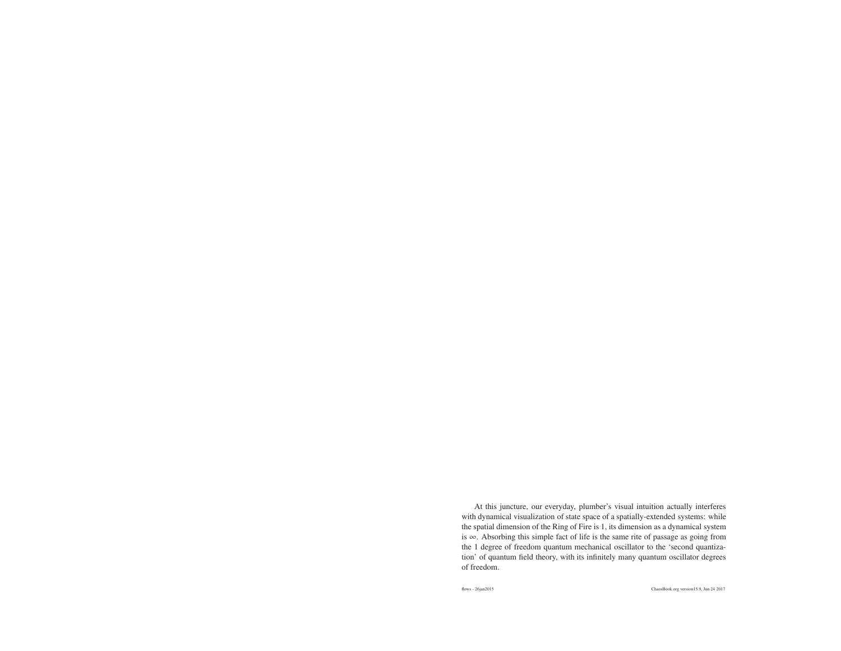At this juncture, our everyday, plumber's visual intuition actually interferes with dynamical visualization of state space of a spatially-extended systems: while the spatial dimension of the Ring of Fire is 1, its dimension as <sup>a</sup> dynamical system is<sup>∞</sup>. Absorbing this simple fact of life is the same rite of passage as going from the 1 degree of freedom quantum mechanical oscillator to the 'second quantization' of quantum field theory, with its infinitely many quantum oscillator degreesof freedom.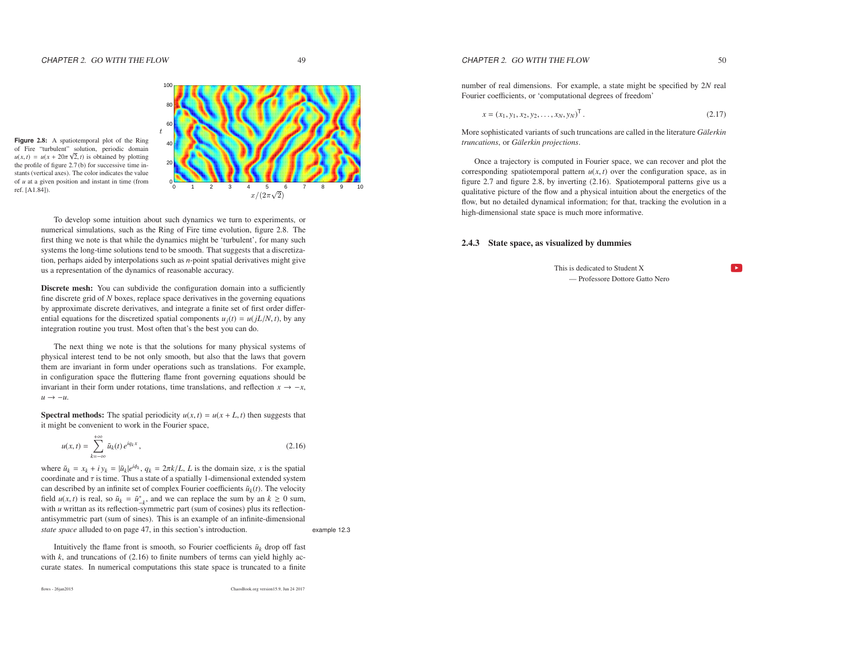$49$ 



**Figure** 2.8: <sup>A</sup> spatiotemporal <sup>p</sup>lot of the Ring of Fire "turbulent" solution, periodic domain $u(x, t) = u(x + 20\pi \sqrt{2}, t)$  is obtained by plotting the profile of figure 2.7 (b) for successive time instants (vertical axes). The color indicates the valueof *<sup>u</sup>* at <sup>a</sup> <sup>g</sup>iven position and instant in time (from

> To develop some intuition about such dynamics we turn to experiments, or numerical simulations, such as the Ring of Fire time evolution, figure 2.8. The first thing we note is that while the dynamics might be 'turbulent', for many such systems the long-time solutions tend to be smooth. That suggests that <sup>a</sup> discretization, perhaps aided by interpolations such as *<sup>n</sup>*-point spatial derivatives might <sup>g</sup>iveus <sup>a</sup> representation of the dynamics of reasonable accuracy.

> **Discrete mesh:** You can subdivide the configuration domain into a sufficiently fine discrete grid of *<sup>N</sup>* boxes, replace space derivatives in the governing equations by approximate discrete derivatives, and integrate <sup>a</sup> finite set of first order differential equations for the discretized spatial components  $u_j(t) = u(jL/N, t)$ , by any integration routine you trust. Most often that's the best you can do.

> The next thing we note is that the solutions for many physical systems of physical interest tend to be not only smooth, but also that the laws that govern them are invariant in form under operations such as translations. For example, in configuration space the fluttering flame front governing equations should beinvariant in their form under rotations, time translations, and reflection  $x \to -x$ , *u* <sup>→</sup> <sup>−</sup>*u*.

> **Spectral methods:** The spatial periodicity  $u(x, t) = u(x + L, t)$  then suggests that it might be convenient to work in the Fourier space,

$$
u(x,t) = \sum_{k=-\infty}^{+\infty} \tilde{u}_k(t) e^{iq_k x}, \qquad (2.16)
$$

where  $\tilde{u}_k = x_k + iy_k = |\tilde{u}_k|e^{i\phi_k}, q_k = 2\pi k/L, L$  is the domain size, *x* is the spatial coordinate and  $\tau$  is time. Thus a state of a spatially 1-dimensional extended system can described by an infinite set of complex Fourier coefficients  $\tilde{u}_k(t)$ . The velocity field *u*(*x*, *t*) is real, so  $\tilde{u}_k = \tilde{u}_{-k}^*$ , and we can replace the sum by an  $k \ge 0$  sum, with *<sup>u</sup>* writtan as its reflection-symmetric par<sup>t</sup> (sum of cosines) <sup>p</sup>lus its reflectionantisymmetric par<sup>t</sup> (sum of sines). This is an example of an infinite-dimensional*state space* alluded to on page 47, in this section's introduction. example 12.3

Intuitively the flame front is smooth, so Fourier coefficients  $\tilde{u}_k$  drop off fast with *k*, and truncations of (2.16) to finite numbers of terms can yield highly accurate states. In numerical computations this state space is truncated to <sup>a</sup> finite

ChaosBook.org version15.9, Jun <sup>24</sup> <sup>2017</sup>

number of real dimensions. For example, <sup>a</sup> state might be specified by 2*N* real Fourier coefficients, or 'computational degrees of freedom'

$$
x = (x_1, y_1, x_2, y_2, \dots, x_N, y_N)^T.
$$
 (2.17)

More sophisticated variants of such truncations are called in the literature *<sup>G</sup> ¨alerkin truncations*, or *<sup>G</sup> ¨alerkin projections*.

Once <sup>a</sup> trajectory is computed in Fourier space, we can recover and plot thecorresponding spatiotemporal pattern  $u(x, t)$  over the configuration space, as in figure 2.7 and figure 2.8, by inverting (2.16). Spatiotemporal patterns give us <sup>a</sup> qualitative picture of the flow and <sup>a</sup> physical intuition about the energetics of the flow, but no detailed dynamical information; for that, tracking the evolution in <sup>a</sup>high-dimensional state space is much more informative.

#### 2.4.3 State space, as visualized by dummies

This is dedicated to Student X— Professore Dottore Gatto Nero  $\mathbf{L}$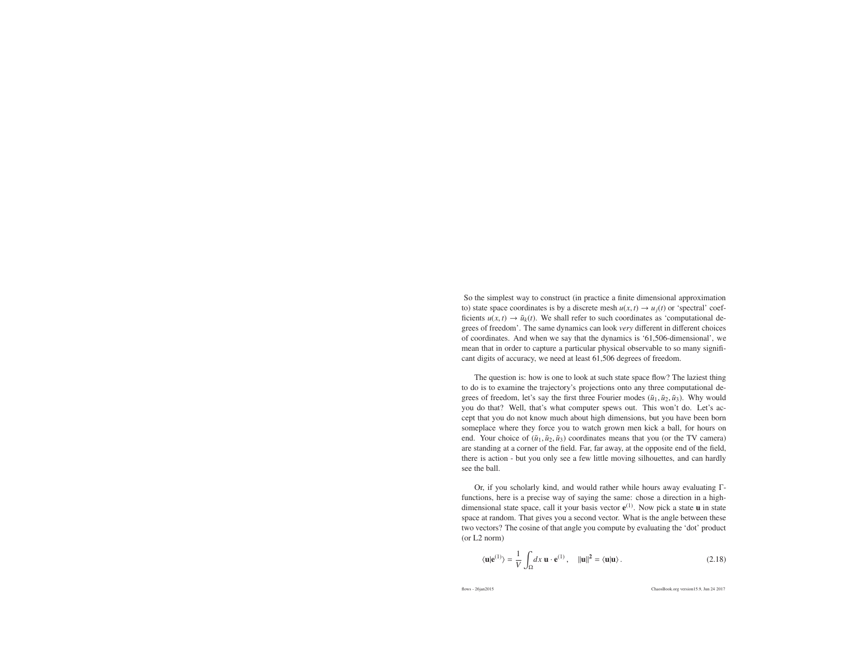So the simplest way to construct (in practice <sup>a</sup> finite dimensional approximationto) state space coordinates is by a discrete mesh  $u(x, t) \rightarrow u_j(t)$  or 'spectral' coef-<br>ficients  $u(x, t) \rightarrow \tilde{u}_i(t)$ . We shall refer to such coordinates as 'computational de ficients  $u(x, t) \to \tilde{u}_k(t)$ . We shall refer to such coordinates as 'computational de-<br>cross of freedom'. The same dynamics can look you different in different choices grees of freedom'. The same dynamics can look *very* di fferent in different choices of coordinates. And when we say that the dynamics is '61,506-dimensional', we mean that in order to capture <sup>a</sup> particular physical observable to so many significant digits of accuracy, we need at least 61,506 degrees of freedom.

The question is: how is one to look at such state space flow? The laziest thing to do is to examine the trajectory's projections onto any three computational degrees of freedom, let's say the first three Fourier modes  $(\tilde{u}_1, \tilde{u}_2, \tilde{u}_3)$ . Why would you do that? Well, that's what computer spews out. This won't do. Let's accep<sup>t</sup> that you do not know much about high dimensions, but you have been born someplace where they force you to watch grown men kick <sup>a</sup> ball, for hours onend. Your choice of  $(\tilde{u}_1, \tilde{u}_2, \tilde{u}_3)$  coordinates means that you (or the TV camera) are standing at <sup>a</sup> corner of the field. Far, far away, at the opposite end of the field, there is action - but you only see <sup>a</sup> few little moving silhouettes, and can hardlysee the ball.

Or, if you scholarly kind, and would rather while hours away evaluating <sup>Γ</sup> functions, here is <sup>a</sup> precise way of saying the same: chose <sup>a</sup> direction in <sup>a</sup> highdimensional state space, call it your basis vector  $e^{(1)}$ . Now pick a state **u** in state space at random. That gives you <sup>a</sup> second vector. What is the angle between these two vectors? The cosine of that angle you compute by evaluating the 'dot' product(or L2 norm)

$$
\langle \mathbf{u} | \mathbf{e}^{(1)} \rangle = \frac{1}{V} \int_{\Omega} dx \, \mathbf{u} \cdot \mathbf{e}^{(1)}, \quad ||\mathbf{u}||^2 = \langle \mathbf{u} | \mathbf{u} \rangle. \tag{2.18}
$$

flows - 26jan2015

ChaosBook.org version15.9, Jun <sup>24</sup> <sup>2017</sup>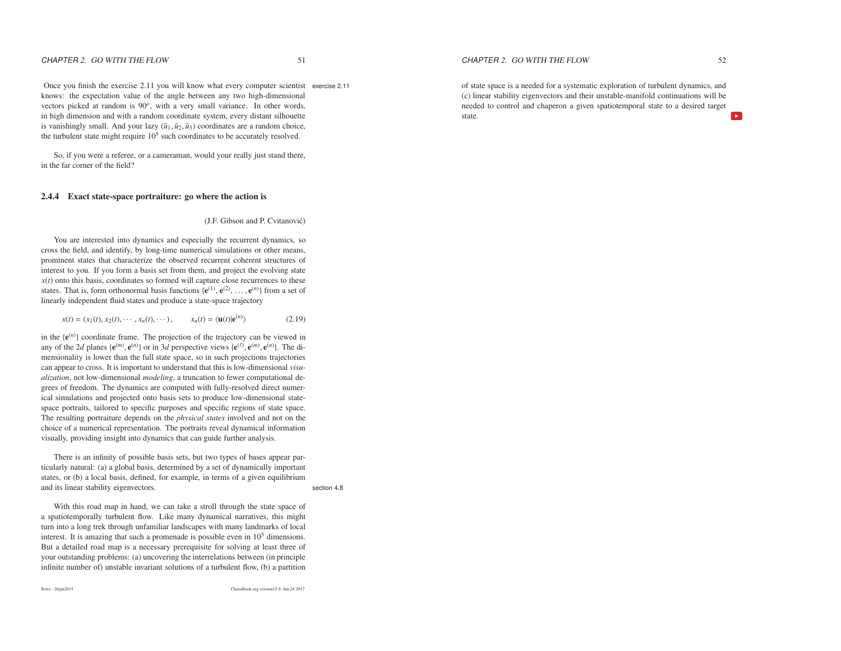Once you finish the exercise 2.11 you will know what every computer scientist exercise 2.11knows: the expectation value of the angle between any two high-dimensionalvectors picked at random is 90<sup>o</sup>, with a very small variance. In other words, in high dimension and with <sup>a</sup> random coordinate system, every distant silhouette is vanishingly small. And your lazy  $(\tilde{u}_1, \tilde{u}_2, \tilde{u}_3)$  coordinates are a random choice, the turbulent state might require  $10<sup>5</sup>$  such coordinates to be accurately resolved.

So, if you were <sup>a</sup> referee, or <sup>a</sup> cameraman, would your really just stand there, in the far corner of the field?

#### 2.4.4 Exact state-space portraiture: go where the action is

#### (J.F. Gibson and P. Cvitanović)

You are interested into dynamics and especially the recurrent dynamics, so cross the field, and identify, by long-time numerical simulations or other means, prominent states that characterize the observed recurrent coherent structures of interest to you. If you form <sup>a</sup> basis set from them, and project the evolving state *<sup>x</sup>*(*t*) onto this basis, coordinates so formed will capture close recurrences to thesestates. That is, form orthonormal basis functions  $\{e^{(1)}, e^{(2)}, \ldots, e^{(n)}\}$  from a set of linearly independent fluid states and produce a state space trajectory. linearly independent fluid states and produce <sup>a</sup> state-space trajectory

$$
x(t) = (x_1(t), x_2(t), \cdots, x_n(t), \cdots), \qquad x_n(t) = \langle \mathbf{u}(t) | \mathbf{e}^{(n)} \rangle
$$
 (2.19)

in the  ${e^{(n)}}$  coordinate frame. The projection of the trajectory can be viewed in any of the 2*d* planes { $e^{(m)}$ ,  $e^{(n)}$ } or in 3*d* perspective views { $e^{(\ell)}$ ,  $e^{(m)}$ ,  $e^{(n)}$ }. The dimensionality is lower than the full state space, so in such projections trajectories can appear to cross. It is important to understand that this is low-dimensional *visualization*, not low-dimensional *modeling*, <sup>a</sup> truncation to fewer computational degrees of freedom. The dynamics are computed with fully-resolved direct numerical simulations and projected onto basis sets to produce low-dimensional statespace portraits, tailored to specific purposes and specific regions of state space. The resulting portraiture depends on the *<sup>p</sup>hysical states* involved and not on the choice of <sup>a</sup> numerical representation. The portraits reveal dynamical informationvisually, providing insight into dynamics that can guide further analysis.

There is an infinity of possible basis sets, but two types of bases appear particularly natural: (a) <sup>a</sup> global basis, determined by <sup>a</sup> set of dynamically important states, or (b) <sup>a</sup> local basis, defined, for example, in terms of <sup>a</sup> <sup>g</sup>iven equilibriumand its linear stability eigenvectors. Section 4.8

With this road map in hand, we can take <sup>a</sup> stroll through the state space of <sup>a</sup> spatiotemporally turbulent flow. Like many dynamical narratives, this might turn into <sup>a</sup> long trek through unfamiliar landscapes with many landmarks of localinterest. It is amazing that such a promenade is possible even in 10<sup>5</sup> dimensions. But <sup>a</sup> detailed road map is <sup>a</sup> necessary prerequisite for solving at least three of your outstanding problems: (a) uncovering the interrelations between (in principleinfinite number of) unstable invariant solutions of <sup>a</sup> turbulent flow, (b) <sup>a</sup> partition

ChaosBook.org version15.9, Jun <sup>24</sup> <sup>2017</sup>

 $W$  52

 $\overline{a}$ 

of state space is <sup>a</sup> needed for <sup>a</sup> systematic exploration of turbulent dynamics, and (c) linear stability eigenvectors and their unstable-manifold continuations will be needed to control and chaperon <sup>a</sup> given spatiotemporal state to <sup>a</sup> desired target state.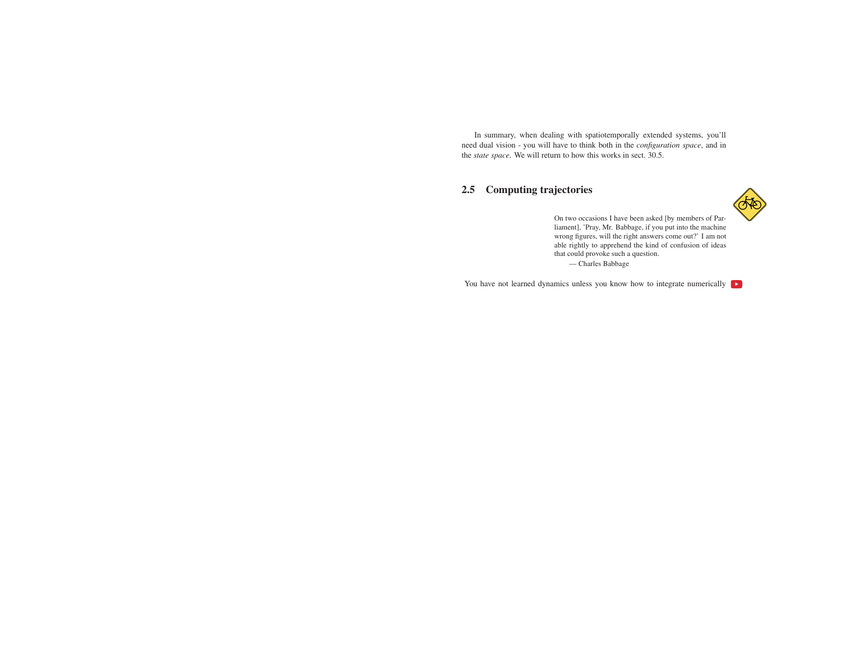In summary, when dealing with spatiotemporally extended systems, you'll need dual vision - you will have to think both in the *configuration space*, and inthe *state space*. We will return to how this works in sect. 30.5.

# 2.5 Computing trajectories



On two occasions I have been asked [by members of Parliament], 'Pray, Mr. Babbage, if you pu<sup>t</sup> into the machine wrong figures, will the right answers come out?' I am not able rightly to apprehend the kind of confusion of ideasthat could provoke such <sup>a</sup> question. — Charles Babbage

You have not learned dynamics unless you know how to integrate numerically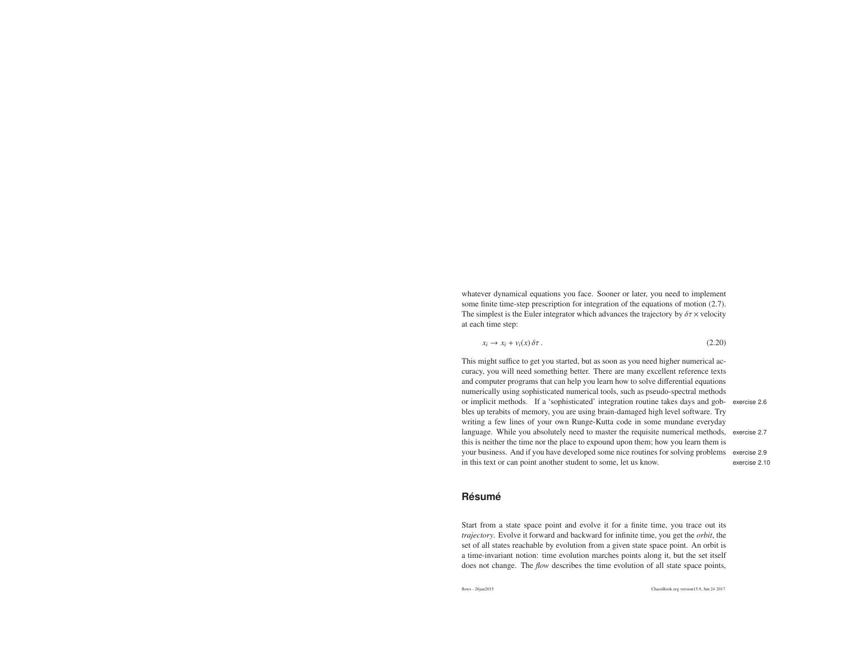whatever dynamical equations you face. Sooner or later, you need to implement some finite time-step prescription for integration of the equations of motion (2.7). The simplest is the Euler integrator which advances the trajectory by  $\delta \tau \times$  velocity at each time step:

$$
x_i \to x_i + v_i(x) \delta \tau. \tag{2.20}
$$

This might suffice to ge<sup>t</sup> you started, but as soon as you need higher numerical ac curacy, you will need something better. There are many excellent reference texts and computer programs that can help you learn how to solve differential equations numerically using sophisticated numerical tools, such as pseudo-spectral methods or implicit methods. If <sup>a</sup> 'sophisticated' integration routine takes days and gob- exercise 2.6bles up terabits of memory, you are using brain-damaged high level software. Try writing <sup>a</sup> few lines of your own Runge-Kutta code in some mundane everyday language. While you absolutely need to master the requisite numerical methods, exercise 2.7 this is neither the time nor the place to expound upon them; how you learn them is your business. And if you have developed some nice routines for solving problems exercise 2.9in this text or can point another student to some, let us know.

# exercise 2.10

# **Resum ´ e´**

Start from <sup>a</sup> state space point and evolve it for <sup>a</sup> finite time, you trace out its *trajectory*. Evolve it forward and backward for infinite time, you ge<sup>t</sup> the *orbit*, the set of all states reachable by evolution from <sup>a</sup> given state space point. An orbit is <sup>a</sup> time-invariant notion: time evolution marches points along it, but the set itselfdoes not change. The *flow* describes the time evolution of all state space points,

flows - 26jan2015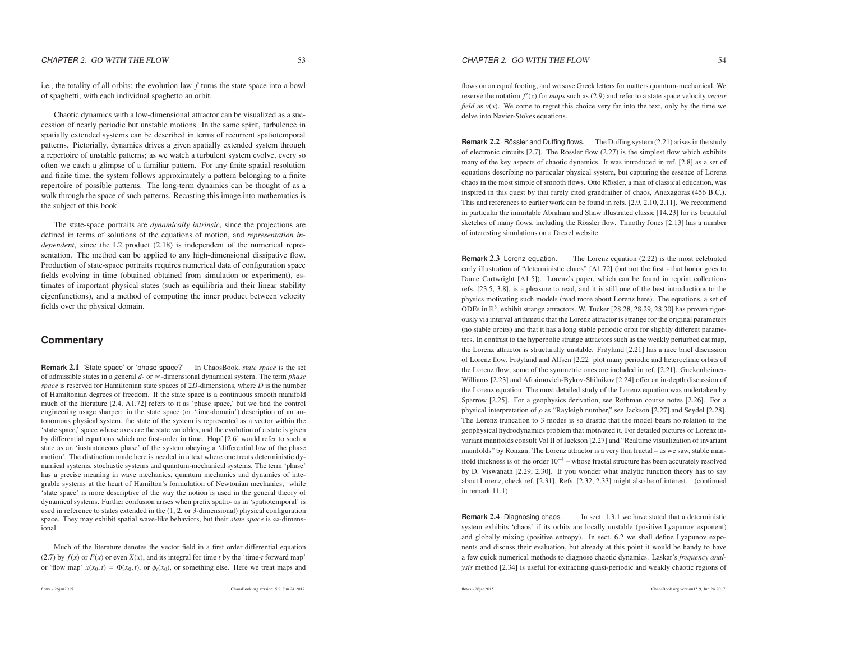i.e., the totality of all orbits: the evolution law *<sup>f</sup>* turns the state space into <sup>a</sup> bowl of spaghetti, with each individual spaghetto an orbit.

Chaotic dynamics with <sup>a</sup> low-dimensional attractor can be visualized as <sup>a</sup> succession of nearly periodic but unstable motions. In the same spirit, turbulence in spatially extended systems can be described in terms of recurrent spatiotemporal patterns. Pictorially, dynamics drives <sup>a</sup> given spatially extended system through <sup>a</sup> repertoire of unstable patterns; as we watch <sup>a</sup> turbulent system evolve, every so often we catch <sup>a</sup> glimpse of <sup>a</sup> familiar pattern. For any finite spatial resolution and finite time, the system follows approximately <sup>a</sup> pattern belonging to <sup>a</sup> finite repertoire of possible patterns. The long-term dynamics can be thought of as <sup>a</sup> walk through the space of such patterns. Recasting this image into mathematics isthe subject of this book.

The state-space portraits are *dynamically intrinsic*, since the projections are defined in terms of solutions of the equations of motion, and *representation independent*, since the L2 product (2.18) is independent of the numerical representation. The method can be applied to any high-dimensional dissipative flow. Production of state-space portraits requires numerical data of configuration space fields evolving in time (obtained obtained from simulation or experiment), estimates of important physical states (such as equilibria and their linear stability eigenfunctions), and <sup>a</sup> method of computing the inner product between velocityfields over the physical domain.

## **Commentary**

**Remark** 2.1 'State space' or 'phase space?' In ChaosBook, *state space* is the set of admissible states in <sup>a</sup> general *d*- or<sup>∞</sup>-dimensional dynamical system. The term *<sup>p</sup>hase space* is reserved for Hamiltonian state spaces of <sup>2</sup>*<sup>D</sup>*-dimensions, where*D* is the number of Hamiltonian degrees of freedom. If the state space is <sup>a</sup> continuous smooth manifold much of the literature [2.4, A1.72] refers to it as 'phase space,' but we find the control engineering usage sharper: in the state space (or 'time-domain') description of an autonomous physical system, the state of the system is represented as <sup>a</sup> vector within the 'state space,' space whose axes are the state variables, and the evolution of <sup>a</sup> state is <sup>g</sup>iven by differential equations which are first-order in time. Hopf [2.6] would refer to such <sup>a</sup> state as an 'instantaneous phase' of the system obeying <sup>a</sup> 'differential law of the phase motion'. The distinction made here is needed in <sup>a</sup> text where one treats deterministic dynamical systems, stochastic systems and quantum-mechanical systems. The term 'phase' has <sup>a</sup> precise meaning in wave mechanics, quantum mechanics and dynamics of integrable systems at the heart of Hamilton's formulation of Newtonian mechanics, while 'state space' is more descriptive of the way the notion is used in the general theory of dynamical systems. Further confusion arises when prefix spatio- as in 'spatiotemporal' is used in reference to states extended in the (1, 2, or 3-dimensional) physical configuration space. They may exhibit spatial wave-like behaviors, but their *state space* is <sup>∞</sup>-dimensional.

Much of the literature denotes the vector field in <sup>a</sup> first order differential equation(2.7) by  $f(x)$  or  $F(x)$  or even  $X(x)$ , and its integral for time *t* by the 'time-*t* forward map' or 'flow map'  $x(x_0, t) = \Phi(x_0, t)$ , or  $\phi_t(x_0)$ , or something else. Here we treat maps and

flows - 26jan2015

ChaosBook.org version15.9, Jun <sup>24</sup> <sup>2017</sup>

flows - 26jan2015

ChaosBook.org version15.9, Jun <sup>24</sup> <sup>2017</sup>

flows on an equal footing, and we save Greek letters for matters quantum-mechanical. Wereserve the notation  $f'(x)$  for *maps* such as (2.9) and refer to a state space velocity *vector field* as  $v(x)$ . We come to regret this choice very far into the text, only by the time we delve into Navier-Stokes equations.

CHAPTER 2. GO WITH THE FLOW

**Remark 2.2** Rössler and Duffing flows. The Duffing system (2.21) arises in the study of electronic circuits [2.7]. The Rössler flow (2.27) is the simplest flow which exhibits many of the key aspects of chaotic dynamics. It was introduced in ref. [2.8] as <sup>a</sup> set of equations describing no particular physical system, but capturing the essence of Lorenzchaos in the most simple of smooth flows. Otto Rössler, a man of classical education, was inspired in this ques<sup>t</sup> by that rarely cited grandfather of chaos, Anaxagoras (456 B.C.). This and references to earlier work can be found in refs. [2.9, 2.10, 2.11]. We recommend in particular the inimitable Abraham and Shaw illustrated classic [14.23] for its beautifulsketches of many flows, including the Rössler flow. Timothy Jones [2.13] has a number of interesting simulations on <sup>a</sup> Drexel website.

**Remark** 2.3 Lorenz equation. The Lorenz equation (2.22) is the most celebrated early illustration of "deterministic chaos" [A1.72] (but not the first - that honor goes to Dame Cartwright [A1.5]). Lorenz's paper, which can be found in reprint collections refs. [23.5, 3.8], is <sup>a</sup> pleasure to read, and it is still one of the best introductions to the physics motivating such models (read more about Lorenz here). The equations, <sup>a</sup> set ofODEs in  $\mathbb{R}^3$ , exhibit strange attractors. W. Tucker [28.28, 28.29, 28.30] has proven rigor- ously via interval arithmetic that the Lorenz attractor is strange for the original parameters (no stable orbits) and that it has <sup>a</sup> long stable periodic orbit for slightly different parameters. In contrast to the hyperbolic strange attractors such as the weakly perturbed cat map, the Lorenz attractor is structurally unstable. Frøyland [2.21] has <sup>a</sup> nice brief discussion of Lorenz flow. Frøyland and Alfsen [2.22] plot many periodic and heteroclinic orbits of the Lorenz flow; some of the symmetric ones are included in ref. [2.21]. Guckenheimer-Williams [2.23] and Afraimovich-Bykov-Shilnikov [2.24] <sup>o</sup>ffer an in-depth discussion of the Lorenz equation. The most detailed study of the Lorenz equation was undertaken by Sparrow [2.25]. For <sup>a</sup> geophysics derivation, see Rothman course notes [2.26]. For <sup>a</sup>physical interpretation of  $\rho$  as "Rayleigh number," see Jackson [2.27] and Seydel [2.28]. The Lorenz truncation to 3 modes is so drastic that the model bears no relation to the geophysical hydrodynamics problem that motivated it. For detailed pictures of Lorenz invariant manifolds consult Vol II of Jackson [2.27] and "Realtime visualization of invariantmanifolds" by Ronzan. The Lorenz attractor is <sup>a</sup> very thin fractal – as we saw, stable manifold thickness is of the order 10−4 – whose fractal structure has been accurately resolved by D. Viswanath [2.29, 2.30]. If you wonder what analytic function theory has to say about Lorenz, check ref. [2.31]. Refs. [2.32, 2.33] might also be of interest. (continuedin remark 11.1)

**Remark** 2.4In sect. 1.3.1 we have stated that a deterministic system exhibits 'chaos' if its orbits are locally unstable (positive Lyapunov exponent) and globally mixing (positive entropy). In sect. 6.2 we shall define Lyapunov exponents and discuss their evaluation, but already at this point it would be handy to have <sup>a</sup> few quick numerical methods to diagnose chaotic dynamics. Laskar's *frequency analysis* method [2.34] is useful for extracting quasi-periodic and weakly chaotic regions of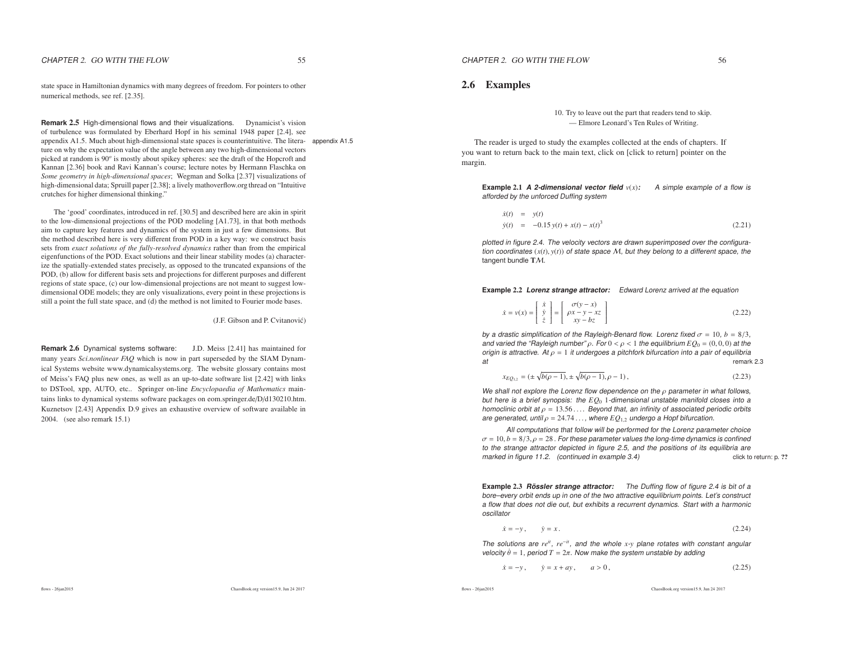state space in Hamiltonian dynamics with many degrees of freedom. For pointers to othernumerical methods, see ref. [2.35].

**Remark** 2.5 High-dimensional flows and their visualizations. Dynamicist's vision of turbulence was formulated by Eberhard Hopf in his seminal 1948 paper [2.4], see appendix A1.5. Much about high-dimensional state spaces is counterintuitive. The litera- appendix A1.5ture on why the expectation value of the angle between any two high-dimensional vectors picked at random is 90*<sup>o</sup>* is mostly about spikey spheres: see the draft of the Hopcroft and Kannan [2.36] book and Ravi Kannan's course; lecture notes by Hermann Flaschka on *Some geometry in high-dimensional spaces*; Wegman and Solka [2.37] visualizations of high-dimensional data; Spruill paper [2.38]; <sup>a</sup> lively mathoverflow.orgthread on "Intuitivecrutches for higher dimensional thinking."

The 'good' coordinates, introduced in ref. [30.5] and described here are akin in spirit to the low-dimensional projections of the POD modeling [A1.73], in that both methods aim to capture key features and dynamics of the system in just <sup>a</sup> few dimensions. But the method described here is very different from POD in <sup>a</sup> key way: we construct basis sets from *exact solutions of the fully-resolved dynamics* rather than from the empirical eigenfunctions of the POD. Exact solutions and their linear stability modes (a) characterize the spatially-extended states precisely, as opposed to the truncated expansions of the POD, (b) allow for different basis sets and projections for different purposes and different regions of state space, (c) our low-dimensional projections are not meant to sugges<sup>t</sup> lowdimensional ODE models; they are only visualizations, every point in these projections isstill <sup>a</sup> point the full state space, and (d) the method is not limited to Fourier mode bases.

(J.F. Gibson and P. Cvitanović)

**Remark** 2.6 Dynamical systems software: J.D. Meiss [2.41] has maintained for many years *Sci.nonlinear FAQ* which is now in par<sup>t</sup> superseded by the SIAM Dynamical Systems website www.dynamicalsystems.org. The website glossary contains mostof Meiss's FAQ plus new ones, as well as an up-to-date software list [2.42] with links to DSTool, xpp, AUTO, etc.. Springer on-line *Encyclopaedia of Mathematics* maintains links to dynamical systems software packages on eom.springer.de/D/d130210.htm. Kuznetsov [2.43] Appendix D.9 gives an exhaustive overview of software available in 2004. (see also remark 15.1)

#### 2.6 Examples

10. Try to leave out the par<sup>t</sup> that readers tend to skip. — Elmore Leonard's Ten Rules of Writing.

The reader is urged to study the examples collected at the ends of chapters. If you want to return back to the main text, click on [click to return] pointer on themargin.

**Example 2.1 A 2-dimensional vector field**  $v(x)$ : A simple example of a flow is afforded by the unforced Duffing system

$$
\dot{x}(t) = y(t) \n\dot{y}(t) = -0.15 y(t) + x(t) - x(t)^3
$$
\n(2.21)

plotted in figure 2.4. The velocity vectors are drawn superimposed over the configuration coordinates (*x*(*t*), *<sup>y</sup>*(*t*)) of state space <sup>M</sup>, but they belong to <sup>a</sup> different space, the tangent bundle  $\mathrm{T}\mathcal{M}$ .

**Example** 2.2 **Lorenz strange attractor:** Edward Lorenz arrived at the equation

$$
\dot{x} = v(x) = \begin{bmatrix} \dot{x} \\ \dot{y} \\ \dot{z} \end{bmatrix} = \begin{bmatrix} \sigma(y - x) \\ \rho x - y - xz \\ xy - bz \end{bmatrix}
$$
\n(2.22)

by a drastic simplification of the Rayleigh-Benard flow. Lorenz fixed  $\sigma = 10$ ,  $b = 8/3$ , and varied the "Rayleigh number" <sup>ρ</sup>. For <sup>0</sup> <sup>&</sup>lt; <sup>ρ</sup> <sup>&</sup>lt; <sup>1</sup> the equilibrium *EQ*<sup>0</sup> <sup>=</sup> (0, <sup>0</sup>, 0) at the origin is attractive. At  $\rho = 1$  it undergoes a pitchfork bifurcation into a pair of equilibria at $t$  remark 2.3

$$
x_{EQ_{1,2}} = (\pm \sqrt{b(\rho - 1)}, \pm \sqrt{b(\rho - 1)}, \rho - 1),
$$
\n(2.23)

We shall not explore the Lorenz flow dependence on the  $\rho$  parameter in what follows, but here is <sup>a</sup> brief synopsis: the *EQ*<sup>0</sup> <sup>1</sup>-dimensional unstable manifold closes into <sup>a</sup>homoclinic orbit at ρ = 13.56 . . . . Beyond that, an infinity of associated periodic orbits<br>are generated until ρ = 24.74 . . . where EΩ, s undergo a Honf bifurcation are generated, until  $\rho = 24.74\dots$ , where  $EQ_{1,2}$  undergo a Hopf bifurcation.

All computations that follow will be performed for the Lorenz parameter choice $\sigma = 10, b = 8/3, \rho = 28$  . For these parameter values the long-time dynamics is confined<br>to the strange attractor depicted in figure 2.5, and the positions of its equilibria are to the strange attractor depicted in figure 2.5, and the positions of its equilibria are click to return: p. ??marked in figure 11.2. (continued in example 3.4)

**Example** 2.3 **Rossler strange attractor: ¨** The Duffing flow of figure 2.4 is bit of <sup>a</sup> bore–every orbit ends up in one of the two attractive equilibrium points. Let's construct <sup>a</sup> flow that does not die out, but exhibits <sup>a</sup> recurrent dynamics. Start with <sup>a</sup> harmonicoscillator

$$
\dot{x} = -y, \qquad \dot{y} = x. \tag{2.24}
$$

The solutions are *reit*, *re*<sup>−</sup>*it*, and the whole *<sup>x</sup>*-*<sup>y</sup>* plane rotates with constant angular velocity  $\dot{\theta} = 1$ , period  $T = 2\pi$ . Now make the system unstable by adding

$$
\dot{x} = -y, \qquad \dot{y} = x + ay, \qquad a > 0,
$$
\n(2.25)

$$
flows - 26ian 2015
$$

ChaosBook.org version15.9, Jun <sup>24</sup> <sup>2017</sup>

flows - 26jan2015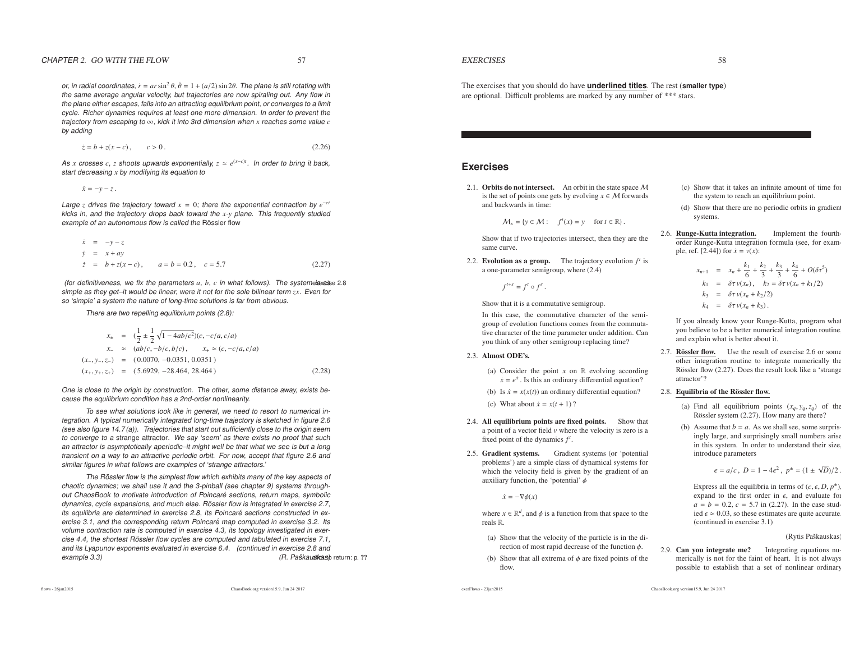or, in radial coordinates,  $\dot{r} = ar \sin^2 \theta$ ,  $\dot{\theta} = 1 + (a/2) \sin 2\theta$ . The plane is still rotating with the same average angular velocity, but trajectories are now spiraling out. Any flow in the plane either escapes, falls into an attracting equilibrium point, or converges to <sup>a</sup> limit cycle. Richer dynamics requires at least one more dimension. In order to prevent the trajectory from escaping to <sup>∞</sup>, kick it into 3rd dimension when *<sup>x</sup>* reaches some value *<sup>c</sup>* by adding

$$
\dot{z} = b + z(x - c), \qquad c > 0. \tag{2.26}
$$

As *<sup>x</sup>* crosses *<sup>c</sup>*, *<sup>z</sup>* shoots upwards exponentially, *<sup>z</sup>* <sup>≃</sup> *<sup>e</sup>*(*<sup>x</sup>*−*<sup>c</sup>*)*<sup>t</sup>*. In order to bring it back, start decreasing *<sup>x</sup>* by modifying its equation to

*x*˙ <sup>=</sup> <sup>−</sup>*<sup>y</sup>* <sup>−</sup> *<sup>z</sup>*.

Large *<sup>z</sup>* drives the trajectory toward *<sup>x</sup>* <sup>=</sup> <sup>0</sup>; there the exponential contraction by *<sup>e</sup>*<sup>−</sup>*ct* kicks in, and the trajectory drops back toward the *<sup>x</sup>*-*<sup>y</sup>* plane. This frequently studied example of an autonomous flow is called the Rössler flow

$$
\dot{x} = -y - z \n\dot{y} = x + ay \n\dot{z} = b + z(x - c), \qquad a = b = 0.2, \quad c = 5.7
$$
\n(2.27)

(for definitiveness, we fix the parameters  $a, b, c$  in what follows). The systemeicase 2.8 simple as they get–it would be linear, were it not for the sole bilinear term *zx*. Even for so 'simple' <sup>a</sup> system the nature of long-time solutions is far from obvious.

There are two repelling equilibrium points (2.8):

$$
x_{\pm} = \left(\frac{1}{2} \pm \frac{1}{2} \sqrt{1 - 4ab/c^2}\right)(c, -c/a, c/a)
$$
  
\n
$$
x_{-} \approx (ab/c, -b/c, b/c), \qquad x_{+} \approx (c, -c/a, c/a)
$$
  
\n
$$
(x_{-}, y_{-}, z_{-}) = (0.0070, -0.0351, 0.0351)
$$
  
\n
$$
(x_{+}, y_{+}, z_{+}) = (5.6929, -28.464, 28.464)
$$
 (2.28)

One is close to the origin by construction. The other, some distance away, exists because the equilibrium condition has <sup>a</sup> 2nd-order nonlinearity.

To see what solutions look like in general, we need to resort to numerical integration. A typical numerically integrated long-time trajectory is sketched in figure 2.6 (see also figure 14.7 (a)). Trajectories that start out sufficiently close to the origin seem to converge to <sup>a</sup> strange attractor. We say 'seem' as there exists no proof that such an attractor is asymptotically aperiodic–it might well be that what we see is but <sup>a</sup> long transient on <sup>a</sup> way to an attractive periodic orbit. For now, accept that figure 2.6 andsimilar figures in what follows are examples of 'strange attractors.'

The Rössler flow is the simplest flow which exhibits many of the key aspects of chaotic dynamics; we shall use it and the 3-pinball (see chapter 9) systems throughout ChaosBook to motivate introduction of Poincaré sections, return maps, symbolic dynamics, cycle expansions, and much else. Rössler flow is integrated in exercise 2.7, its equilibria are determined in exercise 2.8, its Poincaré sections constructed in exercise 3.1, and the corresponding return Poincaré map computed in exercise 3.2. Its volume contraction rate is computed in exercise 4.3, its topology investigated in exer $c$ ise 4.4, the shortest Rössler flow  $c$ y $c$ les are  $\emph{compute}$  and tabulated in exer $\emph{cise}$  7.1, and its Lyapunov exponents evaluated in exercise 6.4. (continued in exercise 2.8 and(R. Paškau**sicas)** return: p. ?? example 3.3)

ChaosBook.org version15.9, Jun <sup>24</sup> <sup>2017</sup>

#### **EXERCISES**

The exercises that you should do have **underlined titles**. The rest (**smaller type**) are optional. Difficult problems are marked by any number of \*\*\* stars.

### **Exercises**

2.1. Orbits do not intersect. An orbit in the state space  $M$ is the set of points one gets by evolving  $x \in M$  forwards and backwards in time: and backwards in time:

 $M_x = \{y \in \mathcal{M} : f^t(x) = y \text{ for } t \in \mathbb{R}\}.$ 

Show that if two trajectories intersect, then they are thesame curve.

2.2. **Evolution as a group.** The trajectory evolution  $f^t$  is <sup>a</sup> one-parameter semigroup, where (2.4)

 $f^{t+s} = f^t \circ f^s$ .

Show that it is <sup>a</sup> commutative semigroup.

In this case, the commutative character of the semigroup of evolution functions comes from the commutative character of the time parameter under addition. Canyou think of any other semigroup replacing time?

- 2.3. Almost ODE's.
	- (a) Consider the point *<sup>x</sup>* on <sup>R</sup> evolving according  $\dot{x} = e^{\dot{x}}$ . Is this an ordinary differential equation?
	- (b) Is  $\dot{x} = x(x(t))$  an ordinary differential equation?
	- (c) What about  $\dot{x} = x(t+1)$  ?
- 2.4. All equilibrium points are fixed points. Show that <sup>a</sup> point of <sup>a</sup> vector field *<sup>v</sup>* where the velocity is zero is <sup>a</sup> fixed point of the dynamics  $f^t$ .
- 2.5. Gradient systems. Gradient systems (or 'potential problems') are <sup>a</sup> simple class of dynamical systems for which the velocity field is given by the gradient of anauxiliary function, the 'potential'  $\phi$

 $\dot{x} = -\nabla \phi(x)$ 

where  $x \in \mathbb{R}^d$ , and  $\phi$  is a function from that space to the reals <sup>R</sup>.

- (a) Show that the velocity of the particle is in the direction of most rapid decrease of the function  $\phi$ .
- (b) Show that all extrema of  $\phi$  are fixed points of the flow.

exerFlows - 23jan2015

- (c) Show that it takes an infinite amount of time forthe system to reach an equilibrium point.
- $(d)$  Show that there are no periodic orbits in gradient systems.
- 2.6. **Runge-Kutta integration.** Implement the fourthorder Runge-Kutta integration formula (see, for example, ref. [2.44]) for  $\dot{x} = v(x)$ :

$$
x_{n+1} = x_n + \frac{k_1}{6} + \frac{k_2}{3} + \frac{k_3}{5} + \frac{k_4}{6} + O(\delta \tau^5)
$$
  
\n
$$
k_1 = \delta \tau v(x_n), \quad k_2 = \delta \tau v(x_n + k_1/2)
$$
  
\n
$$
k_3 = \delta \tau v(x_n + k_2/2)
$$
  
\n
$$
k_4 = \delta \tau v(x_n + k_3).
$$

If you already know your Runge-Kutta, program what you believe to be <sup>a</sup> better numerical integration routine, and explain what is better about it.

2.7. **Rössler flow.** Use the result of exercise 2.6 or some other integration routine to integrate numerically theRössler flow (2.27). Does the result look like a 'strange attractor'?

2.8. Equilibria of the Rössler flow.

- (a) Find all equilibrium points  $(x_q, y_q, z_q)$  of the Rössler system (2.27). How many are there?
- (b) Assume that  $b = a$ . As we shall see, some surprisingly large, and surprisingly small numbers arise in this system. In order to understand their size, introduce parameters

$$
\epsilon = a/c, \ D = 1 - 4\epsilon^2, \ p^{\pm} = (1 \pm \sqrt{D})/2.
$$

Express all the equilibria in terms of  $(c, \epsilon, D, p^{\pm})$ expand to the first order in  $\epsilon$ , and evaluate for  $a = b = 0.2, c = 5.7$  in (2.27). In the case studied  $\epsilon \approx 0.03$ , so these estimates are quite accurate. (continued in exercise 3.1)

(Rytis Paškauskas)

2.9. Can you integrate me? Integrating equations numerically is not for the faint of heart. It is not alwayspossible to establish that <sup>a</sup> set of nonlinear ordinary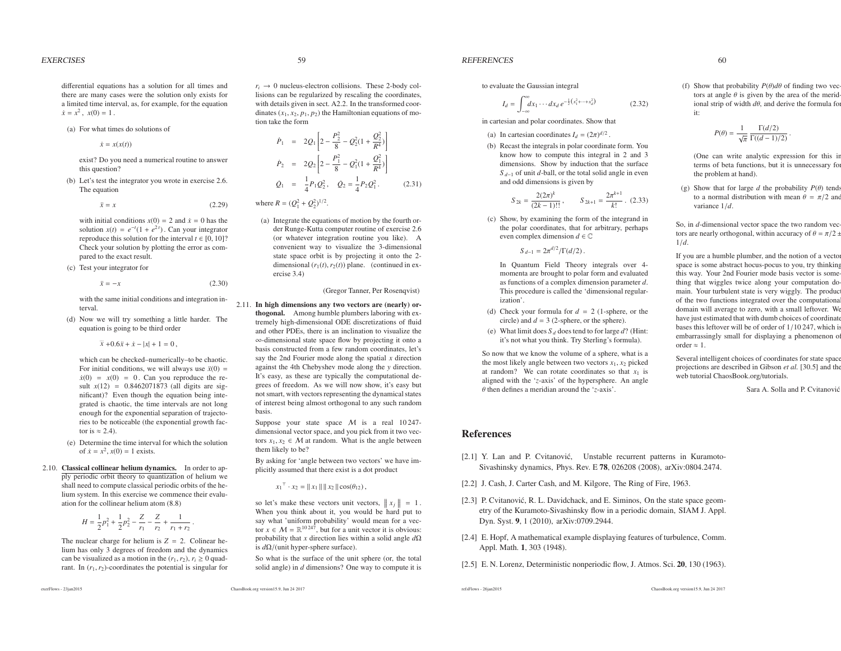differential equations has <sup>a</sup> solution for all times and there are many cases were the solution only exists for <sup>a</sup> limited time interval, as, for example, for the equation $\dot{x} = x^2$ ,  $x(0) = 1$ .

#### (a) For what times do solutions of

 $\dot{x} = x(x(t))$ 

exist? Do you need <sup>a</sup> numerical routine to answerthis question?

(b) Let's test the integrator you wrote in exercise 2.6. The equation

$$
\ddot{x} = x \tag{2.29}
$$

with initial conditions  $x(0) = 2$  and  $\dot{x} = 0$  has the solution  $x(t) = e^{-t}(1 + e^{2t})$ . Can your integrator reproduce this solution for the interval  $t \in [0, 10]$ ? Check your solution by plotting the error as compared to the exact result.

(c) Test your integrator for*x*¨ <sup>=</sup>

<sup>−</sup>*<sup>x</sup>* (2.30)

with the same initial conditions and integration interval.

(d) Now we will try something <sup>a</sup> little harder. Theequation is going to be third order

 $\ddot{x} +0.6\ddot{x} + \dot{x} - |x| + 1 = 0$ ,

which can be checked–numerically–to be chaotic. For initial conditions, we will always use  $\ddot{x}(0)$  =  $\dot{x}(0) = x(0) = 0$ . Can you reproduce the result  $x(12) = 0.8462071873$  (all digits are significant)? Even though the equation being integrated is chaotic, the time intervals are not long enough for the exponential separation of trajectories to be noticeable (the exponential growth factor is  $\approx$  2.4).

- (e) Determine the time interval for which the solutionof  $\dot{x} = x^2$ ,  $x(0) = 1$  exists.
- 2.10. Classical collinear helium dynamics. In order to apply periodic orbit theory to quantization of helium we shall need to compute classical periodic orbits of the helium system. In this exercise we commence their evaluation for the collinear helium atom (8.8)

$$
H = \frac{1}{2}p_1^2 + \frac{1}{2}p_2^2 - \frac{Z}{r_1} - \frac{Z}{r_2} + \frac{1}{r_1 + r_2}.
$$

The nuclear charge for helium is  $Z = 2$ . Colinear helium has only 3 degrees of freedom and the dynamicscan be visualized as a motion in the  $(r_1, r_2)$ ,  $r_i \ge 0$  quadrant. In  $(r_1, r_2)$ -coordinates the potential is singular for

exerFlows - 23jan2015

 $r_i \rightarrow 0$  nucleus-electron collisions. These 2-body collisions can be reqularized by rescaling the coordinates lisions can be regularized by rescaling the coordinates, with details given in sect. A2.2. In the transformed coordinates  $(x_1, x_2, p_1, p_2)$  the Hamiltonian equations of motion take the form

$$
\dot{P}_1 = 2Q_1 \left[ 2 - \frac{P_2^2}{8} - Q_2^2 (1 + \frac{Q_2^2}{R^4}) \right]
$$
\n
$$
\dot{P}_2 = 2Q_2 \left[ 2 - \frac{P_1^2}{8} - Q_1^2 (1 + \frac{Q_1^2}{R^4}) \right]
$$
\n
$$
\dot{Q}_1 = \frac{1}{4} P_1 Q_2^2, \quad \dot{Q}_2 = \frac{1}{4} P_2 Q_1^2. \tag{2.31}
$$

where  $R = (Q_1^2 + Q_2^2)^{1/2}$ .

(a) Integrate the equations of motion by the fourth order Runge-Kutta computer routine of exercise 2.6 (or whatever integration routine you like). A convenient way to visualize the 3-dimensional state space orbit is by projecting it onto the 2dimensional  $(r_1(t), r_2(t))$  plane. (continued in exercise 3.4)

#### (Gregor Tanner, Per Rosenqvist)

2.11. In high dimensions any two vectors are (nearly) orthogonal. Among humble plumbers laboring with extremely high-dimensional ODE discretizations of fluid and other PDEs, there is an inclination to visualize the <sup>∞</sup>-dimensional state space flow by projecting it onto <sup>a</sup> basis constructed from <sup>a</sup> few random coordinates, let's say the 2nd Fourier mode along the spatial *<sup>x</sup>* direction against the 4th Chebyshev mode along the *<sup>y</sup>* direction. It's easy, as these are typically the computational degrees of freedom. As we will now show, it's easy but not smart, with vectors representing the dynamical states of interest being almost orthogonal to any such randombasis.

Suppose your state space  $M$  is a real 10 247-<br>dimensional vector space and you pick from it two vec dimensional vector space, and you pick from it two vectors  $x_1, x_2 \in M$  at random. What is the angle between them likely to be? them likely to be?

 By asking for 'angle between two vectors' we have implicitly assumed that there exist is <sup>a</sup> dot product

 $x_1^{\top} \cdot x_2 = ||x_1|| ||x_2|| \cos(\theta_{12}),$ 

ChaosBook.org version15.9, Jun <sup>24</sup> <sup>2017</sup>

so let's make these vectors unit vectors,  $||x_j|| = 1$ . When you think about it, you would be hard pu<sup>t</sup> to say what 'uniform probability' would mean for <sup>a</sup> vector  $x \in M = \mathbb{R}^{10247}$ , but for a unit vector it is obvious:<br>probability that x direction lies within a solid angle dO probability that *<sup>x</sup>* direction lies within <sup>a</sup> solid angle *<sup>d</sup>*<sup>Ω</sup>is *<sup>d</sup>*Ω/(unit hyper-sphere surface).

So what is the surface of the unit sphere (or, the totalsolid angle) in *<sup>d</sup>* dimensions? One way to compute it is **REFERENCES** 

to evaluate the Gaussian integral

$$
I_d = \int_{-\infty}^{\infty} dx_1 \cdots dx_d \, e^{-\frac{1}{2}(x_1^2 + \cdots + x_d^2)}
$$

in cartesian and polar coordinates. Show that

- (a) In cartesian coordinates  $I_d = (2\pi)^{d/2}$
- (b) Recast the integrals in polar coordinate form. You know how to compute this integral in 2 and 3 dimensions. Show by induction that the surface *S <sup>d</sup>*−<sup>1</sup> of unit *<sup>d</sup>*-ball, or the total solid angle in even and odd dimensions is given by

$$
S_{2k} = \frac{2(2\pi)^k}{(2k-1)!!}, \qquad S_{2k+1} = \frac{2\pi^{k+1}}{k!} \ . \ (2.33)
$$

(2.32)

(c) Show, by examining the form of the integrand in the polar coordinates, that for arbitrary, perhapseven complex dimension *<sup>d</sup>* <sup>∈</sup> <sup>C</sup>

 $S_{d-1} = 2\pi^{d/2} / \Gamma(d/2)$ .

In Quantum Field Theory integrals over 4 momenta are brought to polar form and evaluated as functions of <sup>a</sup> complex dimension parameter *<sup>d</sup>*. This procedure is called the 'dimensional regularization'.

- (d) Check your formula for  $d = 2$  (1-sphere, or the circle) and  $d = 3$  (2-sphere, or the sphere).
- (e) What limit does  $S_d$  does tend to for large  $d$ ? (Hint: it's not what you think. Try Sterling's formula).

So now that we know the volume of <sup>a</sup> sphere, what is <sup>a</sup>the most likely angle between two vectors  $x_1$ ,  $x_2$  picked at random? We can rotate coordinates so that  $x_1$  is aligned with the '*z*-axis' of the hypersphere. An angleθ then defines <sup>a</sup> meridian around the '*z*-axis'.

(f) Show that probability  $P(\theta)d\theta$  of finding two vectors at angle  $\theta$  is given by the area of the meridional strip of width *<sup>d</sup>*θ, and derive the formula for it:

$$
P(\theta) = \frac{1}{\sqrt{\pi}} \frac{\Gamma(d/2)}{\Gamma((d-1)/2)}.
$$

(One can write analytic expression for this in terms of beta functions, but it is unnecessary forthe problem at hand).

(g) Show that for large  $d$  the probability  $P(\theta)$  tends to a normal distribution with mean  $\theta = \pi/2$  and variance 1/*d*.

So, in *<sup>d</sup>*-dimensional vector space the two random vectors are nearly orthogonal, within accuracy of  $\theta = \pi/2 \pm \pi/2$ 1/*d*.

If you are a humble plumber, and the notion of a vector space is some abstract hocus-pocus to you, try thinking this way. Your 2nd Fourier mode basis vector is something that wiggles twice along your computation domain. Your turbulent state is very wiggly. The produc of the two functions integrated over the computationaldomain will average to zero, with <sup>a</sup> small leftover. We have just estimated that with dumb choices of coordinate bases this leftover will be of order of 1/10 247, which is embarrassingly small for displaying <sup>a</sup> phenomenon oforder  $\approx 1$ .

Several intelligent choices of coordinates for state space projections are described in Gibson *et al.* [30.5] and the web tutorial ChaosBook.org/tutorials.

Sara A. Solla and P. Cvitanović

# References

- [2.1] Y. Lan and P. Cvitanović, Unstable recurrent patterns in Kuramoto-Sivashinsky dynamics, Phys. Rev. E <sup>78</sup>, <sup>026208</sup> (2008), arXiv:0804.2474.
- [2.2] J. Cash, J. Carter Cash, and M. Kilgore, The Ring of Fire, 1963.
- [2.3] P. Cvitanović, R. L. Davidchack, and E. Siminos, On the state space geometry of the Kuramoto-Sivashinsky flow in <sup>a</sup> periodic domain, SIAM J. Appl. Dyn. Syst. 9, 1 (2010), arXiv:0709.2944.
- [2.4] E. Hopf, A mathematical example displaying features of turbulence, Comm. Appl. Math. 1, 303 (1948).
- [2.5] E. N. Lorenz, Deterministic nonperiodic flow, J. Atmos. Sci. 20, 130 (1963).

ſ  $P^2_{\alpha}$ *Q*22.22 1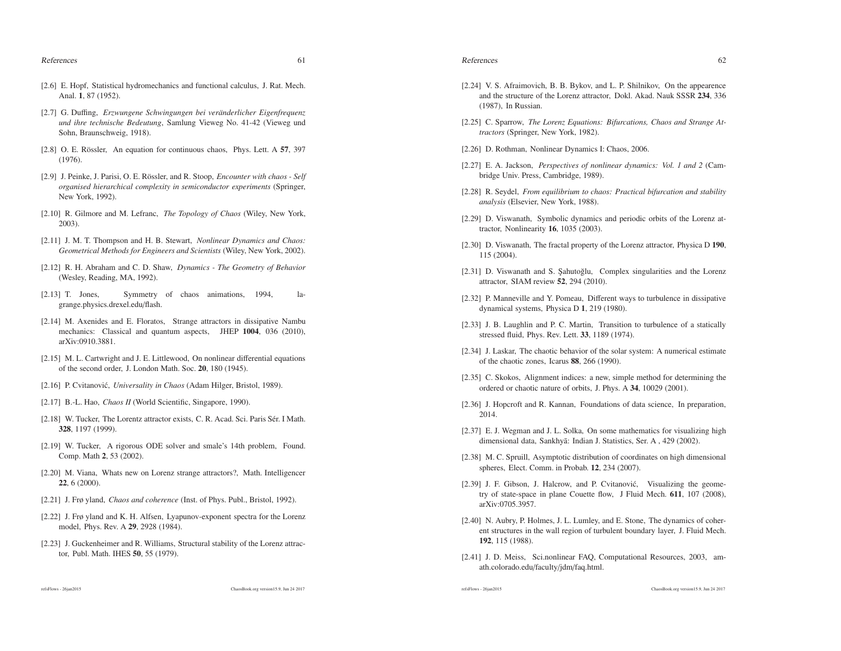- [2.6] E. Hopf, Statistical hydromechanics and functional calculus, J. Rat. Mech. Anal. 1, 87 (1952).
- [2.7] G. Duffing, *Erzwungene Schwingungen bei ver ¨anderlicher Eigenfrequenz und ihre technische Bedeutung*, Samlung Vieweg No. 41-42 (Vieweg undSohn, Braunschweig, 1918).
- [2.8] O. E. Rössler, An equation for continuous chaos, Phys. Lett. A  $57$ , 397 (1976).
- [2.9] J. Peinke, J. Parisi, O. E. Rössler, and R. Stoop, *Encounter with chaos* Self *organised hierarchical complexity in semiconductor experiments* (Springer, New York, 1992).
- [2.10] R. Gilmore and M. Lefranc, *The Topology of Chaos* (Wiley, New York, 2003).
- [2.11] J. M. T. Thompson and H. B. Stewart, *Nonlinear Dynamics and Chaos:Geometrical Methods for Engineers and Scientists* (Wiley, New York, 2002).
- [2.12] R. H. Abraham and C. D. Shaw, *Dynamics - The Geometry of Behavior*(Wesley, Reading, MA, 1992).
- [2.13] T. Jones, Symmetry of chaos animations, 1994, lagrange.physics.drexel.edu/flash.
- [2.14] M. Axenides and E. Floratos, Strange attractors in dissipative Nambu mechanics: Classical and quantum aspects, JHEP <sup>1004</sup>, <sup>036</sup> (2010), arXiv:0910.3881.
- [2.15] M. L. Cartwright and J. E. Littlewood, On nonlinear differential equations of the second order, J. London Math. Soc. 20, 180 (1945).
- [2.16] P. Cvitanovi´c, *Universality in Chaos* (Adam Hilger, Bristol, 1989).
- [2.17] B.-L. Hao, *Chaos II* (World Scientific, Singapore, 1990).
- [2.18] W. Tucker, The Lorentz attractor exists, C. R. Acad. Sci. Paris Sér. I Math. 328, 1197 (1999).
- [2.19] W. Tucker, A rigorous ODE solver and smale's 14th problem, Found. Comp. Math <sup>2</sup>, <sup>53</sup> (2002).
- [2.20] M. Viana, Whats new on Lorenz strange attractors?, Math. Intelligencer 22, 6 (2000).
- [2.21] J. Frø yland, *Chaos and coherence* (Inst. of Phys. Publ., Bristol, 1992).
- [2.22] J. Frø yland and K. H. Alfsen, Lyapunov-exponent spectra for the Lorenz model, Phys. Rev. A <sup>29</sup>, <sup>2928</sup> (1984).
- [2.23] J. Guckenheimer and R. Williams, Structural stability of the Lorenz attractor, Publ. Math. IHES <sup>50</sup>, <sup>55</sup> (1979).
- [2.24] V. S. Afraimovich, B. B. Bykov, and L. P. Shilnikov, On the appearence and the structure of the Lorenz attractor, Dokl. Akad. Nauk SSSR 234, 336 (1987), In Russian.
- [2.25] C. Sparrow, *The Lorenz Equations: Bifurcations, Chaos and Strange Attractors* (Springer, New York, 1982).
- [2.26] D. Rothman, Nonlinear Dynamics I: Chaos, 2006.
- [2.27] E. A. Jackson, *Perspectives of nonlinear dynamics: Vol. 1 and 2* (Cambridge Univ. Press, Cambridge, 1989).
- [2.28] R. Seydel, *From equilibrium to chaos: Practical bifurcation and stabilityanalysis* (Elsevier, New York, 1988).
- [2.29] D. Viswanath, Symbolic dynamics and periodic orbits of the Lorenz attractor, Nonlinearity <sup>16</sup>, <sup>1035</sup> (2003).
- [2.30] D. Viswanath, The fractal property of the Lorenz attractor, Physica D 190, 115 (2004).
- [2.31] D. Viswanath and S. Sahutoğlu, Complex singularities and the Lorenz attractor, SIAM review <sup>52</sup>, <sup>294</sup> (2010).
- [2.32] P. Manneville and Y. Pomeau, Different ways to turbulence in dissipative dynamical systems, Physica D <sup>1</sup>, <sup>219</sup> (1980).
- [2.33] J. B. Laughlin and P. C. Martin, Transition to turbulence of a statically stressed fluid, Phys. Rev. Lett. 33, 1189 (1974).
- [2.34] J. Laskar, The chaotic behavior of the solar system: A numerical estimate of the chaotic zones, Icarus <sup>88</sup>, <sup>266</sup> (1990).
- [2.35] C. Skokos, Alignment indices: a new, simple method for determining the ordered or chaotic nature of orbits, J. Phys. A <sup>34</sup>, <sup>10029</sup> (2001).
- [2.36] J. Hopcroft and R. Kannan, Foundations of data science, In preparation, 2014.
- [2.37] E. J. Wegman and J. L. Solka, On some mathematics for visualizing highdimensional data, Sankhyā: Indian J. Statistics, Ser. A, 429 (2002).
- [2.38] M. C. Spruill, Asymptotic distribution of coordinates on high dimensional spheres, Elect. Comm. in Probab. 12, 234 (2007).
- [2.39] J. F. Gibson, J. Halcrow, and P. Cvitanović, Visualizing the geometry of state-space in plane Couette flow, J Fluid Mech. 611, 107 (2008), arXiv:0705.3957.
- [2.40] N. Aubry, P. Holmes, J. L. Lumley, and E. Stone, The dynamics of coherent structures in the wall region of turbulent boundary layer, J. Fluid Mech. 192, 115 (1988).
- [2.41] J. D. Meiss, Sci.nonlinear FAQ, Computational Resources, 2003, amath.colorado.edu/faculty/jdm/faq.html.

refsFlows - 26jan2015